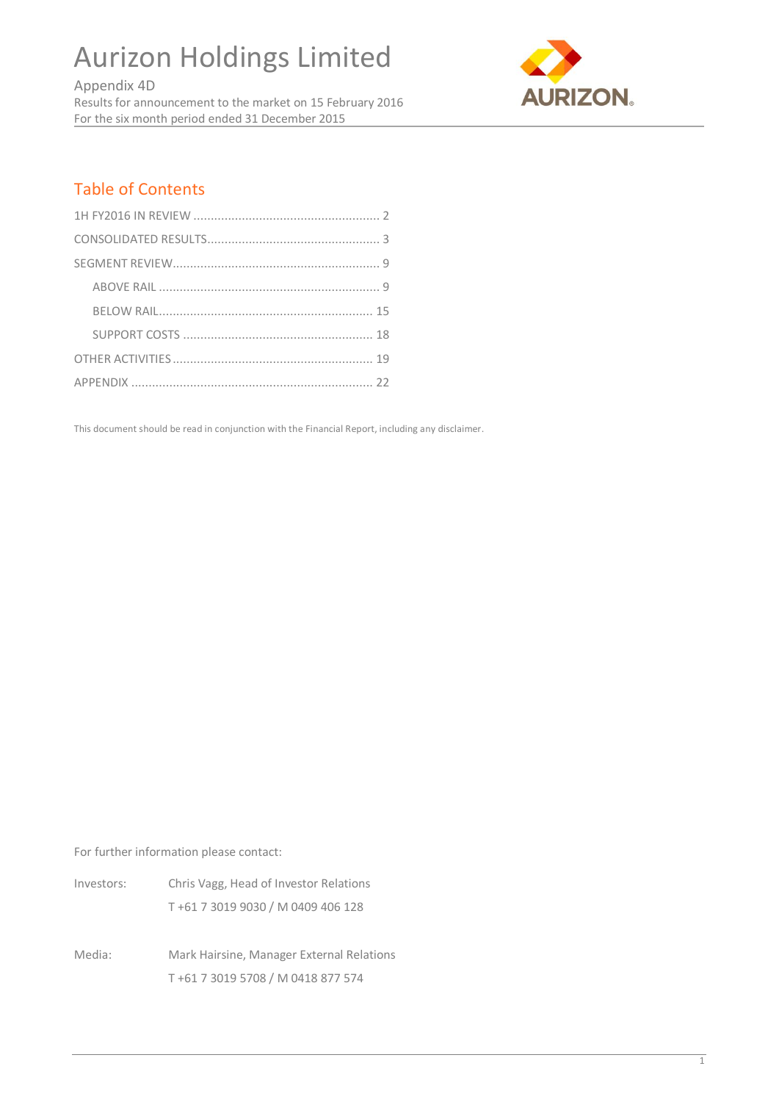Aurizon Holdings Limited

Appendix 4D Results for announcement to the market on 15 February 2016 For the six month period ended 31 December 2015



# Table of Contents

This document should be read in conjunction with the Financial Report, including any disclaimer.

For further information please contact:

| Investors: | Chris Vagg, Head of Investor Relations |
|------------|----------------------------------------|
|            | T+61 7 3019 9030 / M 0409 406 128      |

Media: Mark Hairsine, Manager External Relations T +61 7 3019 5708 / M 0418 877 574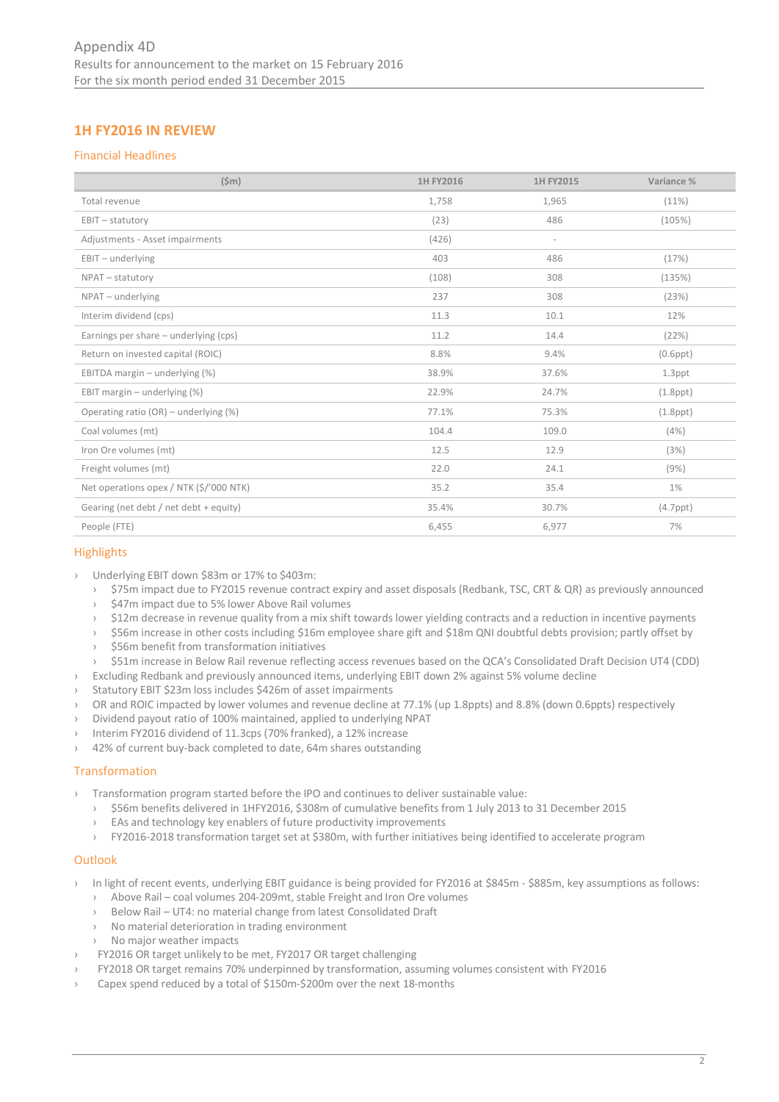# **1H FY2016 IN REVIEW**

# Financial Headlines

| $(\$m)$                                 | 1H FY2016 | 1H FY2015                | Variance %     |
|-----------------------------------------|-----------|--------------------------|----------------|
| Total revenue                           | 1,758     | 1,965                    | (11%)          |
| $EBIT - statutorv$                      | (23)      | 486                      | (105%)         |
| Adjustments - Asset impairments         | (426)     | $\overline{\phantom{a}}$ |                |
| $EBIT - underlying$                     | 403       | 486                      | (17%)          |
| NPAT - statutory                        | (108)     | 308                      | (135%)         |
| NPAT - underlying                       | 237       | 308                      | (23%)          |
| Interim dividend (cps)                  | 11.3      | 10.1                     | 12%            |
| Earnings per share - underlying (cps)   | 11.2      | 14.4                     | (22%)          |
| Return on invested capital (ROIC)       | 8.8%      | 9.4%                     | $(0.6$ ppt $)$ |
| EBITDA margin - underlying (%)          | 38.9%     | 37.6%                    | $1.3$ ppt      |
| EBIT margin $-$ underlying $(\%)$       | 22.9%     | 24.7%                    | $(1.8$ ppt $)$ |
| Operating ratio (OR) - underlying (%)   | 77.1%     | 75.3%                    | $(1.8$ ppt $)$ |
| Coal volumes (mt)                       | 104.4     | 109.0                    | (4%)           |
| Iron Ore volumes (mt)                   | 12.5      | 12.9                     | (3%)           |
| Freight volumes (mt)                    | 22.0      | 24.1                     | (9%)           |
| Net operations opex / NTK (\$/'000 NTK) | 35.2      | 35.4                     | $1\%$          |
| Gearing (net debt / net debt + equity)  | 35.4%     | 30.7%                    | $(4.7$ ppt $)$ |
| People (FTE)                            | 6,455     | 6,977                    | 7%             |

# **Highlights**

- › Underlying EBIT down \$83m or 17% to \$403m:
	- › \$75m impact due to FY2015 revenue contract expiry and asset disposals (Redbank, TSC, CRT & QR) as previously announced
	- › \$47m impact due to 5% lower Above Rail volumes
	- › \$12m decrease in revenue quality from a mix shift towards lower yielding contracts and a reduction in incentive payments
	- › \$56m increase in other costs including \$16m employee share gift and \$18m QNI doubtful debts provision; partly offset by
	- \$56m benefit from transformation initiatives
	- › \$51m increase in Below Rail revenue reflecting access revenues based on the QCA's Consolidated Draft Decision UT4 (CDD)
- › Excluding Redbank and previously announced items, underlying EBIT down 2% against 5% volume decline
- Statutory EBIT \$23m loss includes \$426m of asset impairments
- OR and ROIC impacted by lower volumes and revenue decline at 77.1% (up 1.8ppts) and 8.8% (down 0.6ppts) respectively
- › Dividend payout ratio of 100% maintained, applied to underlying NPAT
- Interim FY2016 dividend of 11.3cps (70% franked), a 12% increase
- 42% of current buy-back completed to date, 64m shares outstanding

# **Transformation**

- › Transformation program started before the IPO and continues to deliver sustainable value:
	- › \$56m benefits delivered in 1HFY2016, \$308m of cumulative benefits from 1 July 2013 to 31 December 2015
	- › EAs and technology key enablers of future productivity improvements
	- › FY2016-2018 transformation target set at \$380m, with further initiatives being identified to accelerate program

# **Outlook**

- > In light of recent events, underlying EBIT guidance is being provided for FY2016 at \$845m \$885m, key assumptions as follows:
	- › Above Rail coal volumes 204-209mt, stable Freight and Iron Ore volumes
	- › Below Rail UT4: no material change from latest Consolidated Draft
	- › No material deterioration in trading environment
	- › No major weather impacts
- FY2016 OR target unlikely to be met, FY2017 OR target challenging
- › FY2018 OR target remains 70% underpinned by transformation, assuming volumes consistent with FY2016
- Capex spend reduced by a total of \$150m-\$200m over the next 18-months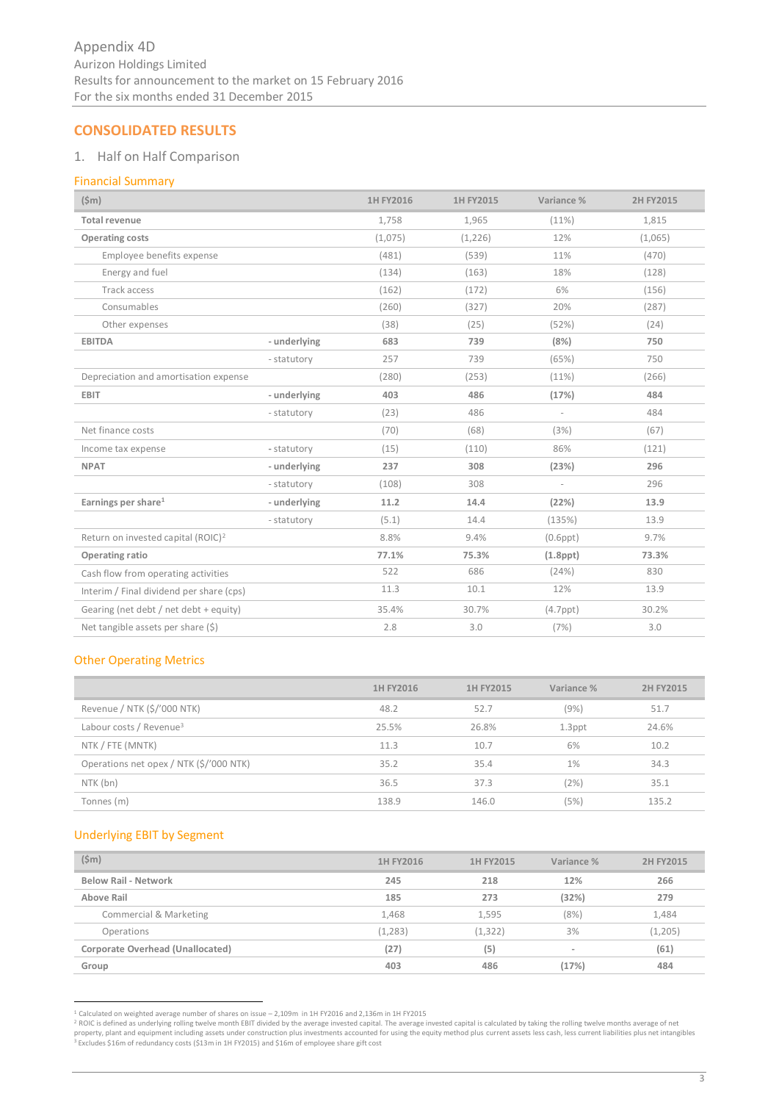# **CONSOLIDATED RESULTS**

# 1. Half on Half Comparison

# Financial Summary

| $(\$m)$                                        |              | 1H FY2016 | 1H FY2015 | Variance %     | 2H FY2015 |
|------------------------------------------------|--------------|-----------|-----------|----------------|-----------|
| <b>Total revenue</b>                           |              | 1,758     | 1,965     | (11%)          | 1,815     |
| <b>Operating costs</b>                         |              | (1,075)   | (1, 226)  | 12%            | (1,065)   |
| Employee benefits expense                      |              | (481)     | (539)     | 11%            | (470)     |
| Energy and fuel                                |              | (134)     | (163)     | 18%            | (128)     |
| Track access                                   |              | (162)     | (172)     | 6%             | (156)     |
| Consumables                                    |              | (260)     | (327)     | 20%            | (287)     |
| Other expenses                                 |              | (38)      | (25)      | (52%)          | (24)      |
| <b>EBITDA</b>                                  | - underlying | 683       | 739       | (8%)           | 750       |
|                                                | - statutory  | 257       | 739       | (65%)          | 750       |
| Depreciation and amortisation expense          |              | (280)     | (253)     | (11%)          | (266)     |
| <b>EBIT</b>                                    | - underlying | 403       | 486       | (17%)          | 484       |
|                                                | - statutory  | (23)      | 486       |                | 484       |
| Net finance costs                              |              | (70)      | (68)      | (3%)           | (67)      |
| Income tax expense                             | - statutory  | (15)      | (110)     | 86%            | (121)     |
| <b>NPAT</b>                                    | - underlying | 237       | 308       | (23%)          | 296       |
|                                                | - statutory  | (108)     | 308       |                | 296       |
| Earnings per share <sup>1</sup>                | - underlying | 11.2      | 14.4      | (22%)          | 13.9      |
|                                                | - statutory  | (5.1)     | 14.4      | (135%)         | 13.9      |
| Return on invested capital (ROIC) <sup>2</sup> |              | 8.8%      | 9.4%      | $(0.6$ ppt $)$ | 9.7%      |
| Operating ratio                                |              | 77.1%     | 75.3%     | $(1.8$ ppt $)$ | 73.3%     |
| Cash flow from operating activities            |              | 522       | 686       | (24%)          | 830       |
| Interim / Final dividend per share (cps)       |              | 11.3      | 10.1      | 12%            | 13.9      |
| Gearing (net debt / net debt + equity)         |              | 35.4%     | 30.7%     | $(4.7$ ppt $)$ | 30.2%     |
| Net tangible assets per share (\$)             |              | 2.8       | 3.0       | (7%)           | 3.0       |

# Other Operating Metrics

|                                         | 1H FY2016 | 1H FY2015 | Variance % | 2H FY2015 |
|-----------------------------------------|-----------|-----------|------------|-----------|
| Revenue / NTK (\$/'000 NTK)             | 48.2      | 52.7      | (9%)       | 51.7      |
| Labour costs / Revenue <sup>3</sup>     | 25.5%     | 26.8%     | $1.3$ ppt  | 24.6%     |
| NTK / FTE (MNTK)                        | 11.3      | 10.7      | 6%         | 10.2      |
| Operations net opex / NTK (\$/'000 NTK) | 35.2      | 35.4      | 1%         | 34.3      |
| NTK (bn)                                | 36.5      | 37.3      | (2%)       | 35.1      |
| Tonnes (m)                              | 138.9     | 146.0     | (5%)       | 135.2     |

# Underlying EBIT by Segment

| $(\$m)$                          | 1H FY2016 | 1H FY2015 | Variance % | 2H FY2015 |
|----------------------------------|-----------|-----------|------------|-----------|
| <b>Below Rail - Network</b>      | 245       | 218       | 12%        | 266       |
| Above Rail                       | 185       | 273       | (32%)      | 279       |
| Commercial & Marketing           | 1,468     | 1.595     | (8%)       | 1,484     |
| Operations                       | (1, 283)  | (1, 322)  | 3%         | (1,205)   |
| Corporate Overhead (Unallocated) | (27)      | (5)       |            | (61)      |
| Group                            | 403       | 486       | (17%)      | 484       |

<sup>-&</sup>lt;br>2 Calculated on weighted average number of shares on issue – 2,109m in 1H FY2016 and 2,136m in 1H FY2015<br>POIC is defined as underlying rolling twelve month EBIT divided by the average invested capital. The average invest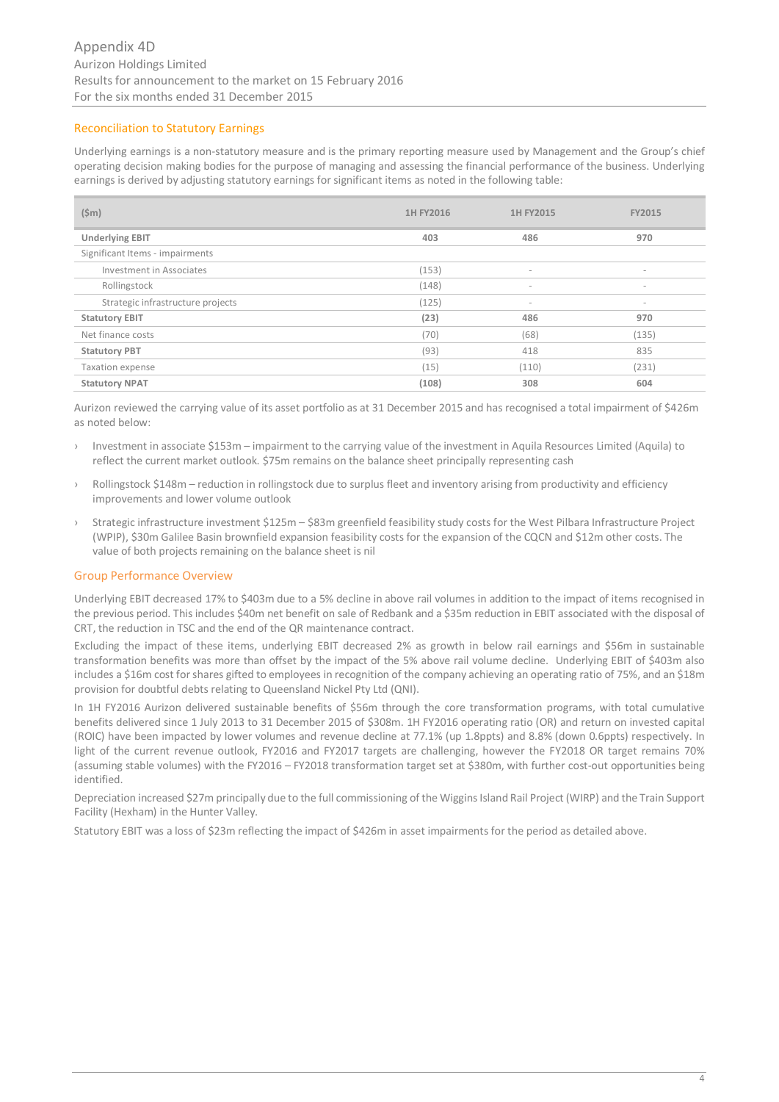# Reconciliation to Statutory Earnings

Underlying earnings is a non-statutory measure and is the primary reporting measure used by Management and the Group's chief operating decision making bodies for the purpose of managing and assessing the financial performance of the business. Underlying earnings is derived by adjusting statutory earnings for significant items as noted in the following table:

| $(\$m)$                           | 1H FY2016 | 1H FY2015                | <b>FY2015</b>            |
|-----------------------------------|-----------|--------------------------|--------------------------|
| <b>Underlying EBIT</b>            | 403       | 486                      | 970                      |
| Significant Items - impairments   |           |                          |                          |
| Investment in Associates          | (153)     | $\overline{\phantom{a}}$ | $\overline{\phantom{a}}$ |
| Rollingstock                      | (148)     | $\overline{\phantom{a}}$ | $\overline{\phantom{a}}$ |
| Strategic infrastructure projects | (125)     | $\overline{\phantom{a}}$ | $\overline{\phantom{a}}$ |
| <b>Statutory EBIT</b>             | (23)      | 486                      | 970                      |
| Net finance costs                 | (70)      | (68)                     | (135)                    |
| <b>Statutory PBT</b>              | (93)      | 418                      | 835                      |
| Taxation expense                  | (15)      | (110)                    | (231)                    |
| <b>Statutory NPAT</b>             | (108)     | 308                      | 604                      |

Aurizon reviewed the carrying value of its asset portfolio as at 31 December 2015 and has recognised a total impairment of \$426m as noted below:

- › Investment in associate \$153m impairment to the carrying value of the investment in Aquila Resources Limited (Aquila) to reflect the current market outlook. \$75m remains on the balance sheet principally representing cash
- › Rollingstock \$148m reduction in rollingstock due to surplus fleet and inventory arising from productivity and efficiency improvements and lower volume outlook
- › Strategic infrastructure investment \$125m \$83m greenfield feasibility study costs for the West Pilbara Infrastructure Project (WPIP), \$30m Galilee Basin brownfield expansion feasibility costs for the expansion of the CQCN and \$12m other costs. The value of both projects remaining on the balance sheet is nil

# Group Performance Overview

Underlying EBIT decreased 17% to \$403m due to a 5% decline in above rail volumes in addition to the impact of items recognised in the previous period. This includes \$40m net benefit on sale of Redbank and a \$35m reduction in EBIT associated with the disposal of CRT, the reduction in TSC and the end of the QR maintenance contract.

Excluding the impact of these items, underlying EBIT decreased 2% as growth in below rail earnings and \$56m in sustainable transformation benefits was more than offset by the impact of the 5% above rail volume decline. Underlying EBIT of \$403m also includes a \$16m cost for shares gifted to employees in recognition of the company achieving an operating ratio of 75%, and an \$18m provision for doubtful debts relating to Queensland Nickel Pty Ltd (QNI).

In 1H FY2016 Aurizon delivered sustainable benefits of \$56m through the core transformation programs, with total cumulative benefits delivered since 1 July 2013 to 31 December 2015 of \$308m. 1H FY2016 operating ratio (OR) and return on invested capital (ROIC) have been impacted by lower volumes and revenue decline at 77.1% (up 1.8ppts) and 8.8% (down 0.6ppts) respectively. In light of the current revenue outlook, FY2016 and FY2017 targets are challenging, however the FY2018 OR target remains 70% (assuming stable volumes) with the FY2016 – FY2018 transformation target set at \$380m, with further cost-out opportunities being identified.

Depreciation increased \$27m principally due to the full commissioning of the Wiggins Island Rail Project (WIRP) and the Train Support Facility (Hexham) in the Hunter Valley.

Statutory EBIT was a loss of \$23m reflecting the impact of \$426m in asset impairments for the period as detailed above.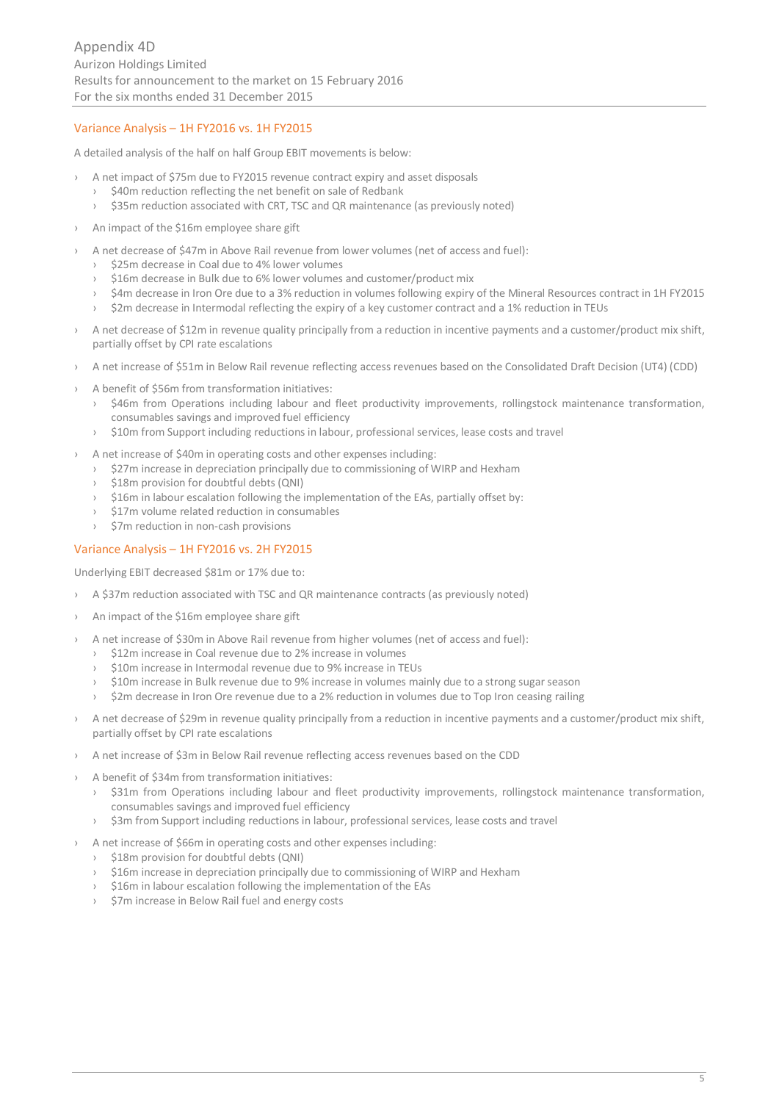# Variance Analysis – 1H FY2016 vs. 1H FY2015

A detailed analysis of the half on half Group EBIT movements is below:

- › A net impact of \$75m due to FY2015 revenue contract expiry and asset disposals
	- \$40m reduction reflecting the net benefit on sale of Redbank
	- › \$35m reduction associated with CRT, TSC and QR maintenance (as previously noted)
- › An impact of the \$16m employee share gift
- › A net decrease of \$47m in Above Rail revenue from lower volumes (net of access and fuel):
	- \$25m decrease in Coal due to 4% lower volumes
	- \$16m decrease in Bulk due to 6% lower volumes and customer/product mix
	- › \$4m decrease in Iron Ore due to a 3% reduction in volumes following expiry of the Mineral Resources contract in 1H FY2015
	- \$2m decrease in Intermodal reflecting the expiry of a key customer contract and a 1% reduction in TEUs
- › A net decrease of \$12m in revenue quality principally from a reduction in incentive payments and a customer/product mix shift, partially offset by CPI rate escalations
- › A net increase of \$51m in Below Rail revenue reflecting access revenues based on the Consolidated Draft Decision (UT4) (CDD)
- › A benefit of \$56m from transformation initiatives:
	- › \$46m from Operations including labour and fleet productivity improvements, rollingstock maintenance transformation, consumables savings and improved fuel efficiency
	- › \$10m from Support including reductions in labour, professional services, lease costs and travel
- › A net increase of \$40m in operating costs and other expenses including:
	- \$27m increase in depreciation principally due to commissioning of WIRP and Hexham
	- \$18m provision for doubtful debts (QNI)
	- \$16m in labour escalation following the implementation of the EAs, partially offset by:
	- \$17m volume related reduction in consumables
	- \$7m reduction in non-cash provisions

# Variance Analysis – 1H FY2016 vs. 2H FY2015

Underlying EBIT decreased \$81m or 17% due to:

- › A \$37m reduction associated with TSC and QR maintenance contracts (as previously noted)
- An impact of the \$16m employee share gift
- › A net increase of \$30m in Above Rail revenue from higher volumes (net of access and fuel):
	- \$12m increase in Coal revenue due to 2% increase in volumes
	- › \$10m increase in Intermodal revenue due to 9% increase in TEUs
	- \$10m increase in Bulk revenue due to 9% increase in volumes mainly due to a strong sugar season
	- \$2m decrease in Iron Ore revenue due to a 2% reduction in volumes due to Top Iron ceasing railing
- › A net decrease of \$29m in revenue quality principally from a reduction in incentive payments and a customer/product mix shift, partially offset by CPI rate escalations
- › A net increase of \$3m in Below Rail revenue reflecting access revenues based on the CDD
- A benefit of \$34m from transformation initiatives:
	- \$31m from Operations including labour and fleet productivity improvements, rollingstock maintenance transformation, consumables savings and improved fuel efficiency
	- \$3m from Support including reductions in labour, professional services, lease costs and travel
- › A net increase of \$66m in operating costs and other expenses including:
	- › \$18m provision for doubtful debts (QNI)
	- › \$16m increase in depreciation principally due to commissioning of WIRP and Hexham
	- › \$16m in labour escalation following the implementation of the EAs
	- › \$7m increase in Below Rail fuel and energy costs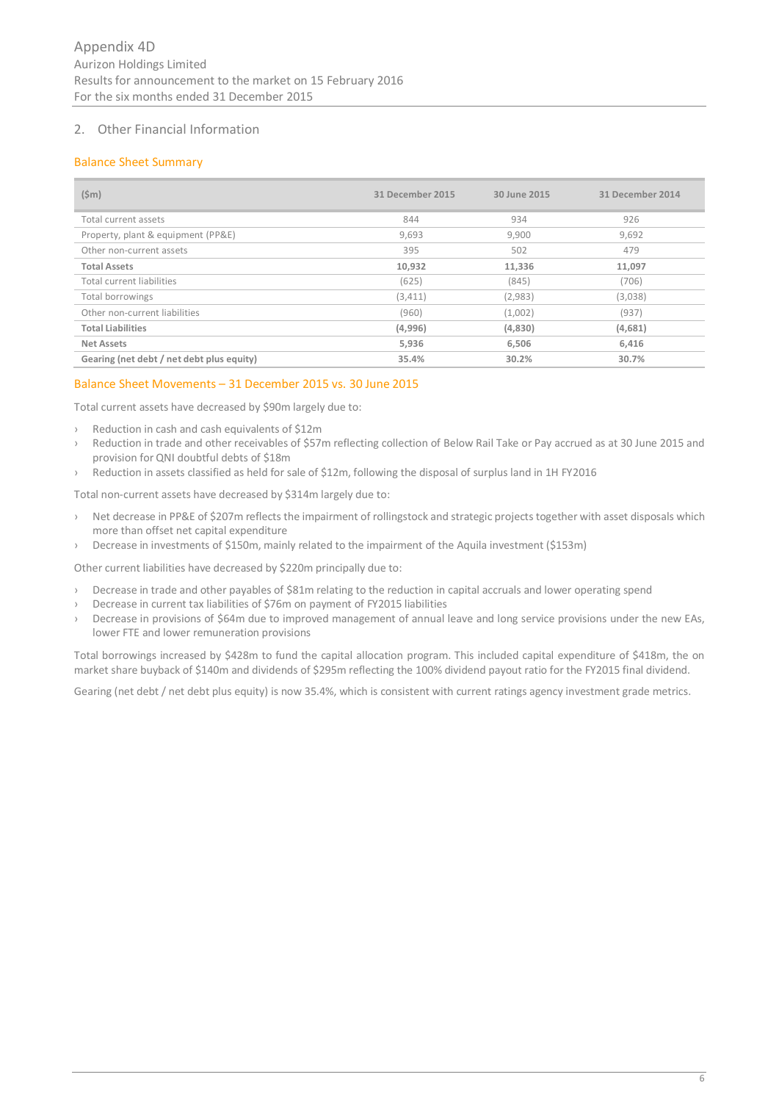# 2. Other Financial Information

# Balance Sheet Summary

| $(\text{5m})$                             | 31 December 2015 | 30 June 2015 | 31 December 2014 |
|-------------------------------------------|------------------|--------------|------------------|
| Total current assets                      | 844              | 934          | 926              |
| Property, plant & equipment (PP&E)        | 9,693            | 9,900        | 9,692            |
| Other non-current assets                  | 395              | 502          | 479              |
| <b>Total Assets</b>                       | 10,932           | 11,336       | 11,097           |
| Total current liabilities                 | (625)            | (845)        | (706)            |
| Total borrowings                          | (3, 411)         | (2,983)      | (3,038)          |
| Other non-current liabilities             | (960)            | (1,002)      | (937)            |
| <b>Total Liabilities</b>                  | (4,996)          | (4,830)      | (4,681)          |
| <b>Net Assets</b>                         | 5,936            | 6,506        | 6,416            |
| Gearing (net debt / net debt plus equity) | 35.4%            | 30.2%        | 30.7%            |

#### Balance Sheet Movements – 31 December 2015 vs. 30 June 2015

Total current assets have decreased by \$90m largely due to:

- › Reduction in cash and cash equivalents of \$12m
- › Reduction in trade and other receivables of \$57m reflecting collection of Below Rail Take or Pay accrued as at 30 June 2015 and provision for QNI doubtful debts of \$18m
- Reduction in assets classified as held for sale of \$12m, following the disposal of surplus land in 1H FY2016

Total non-current assets have decreased by \$314m largely due to:

- › Net decrease in PP&E of \$207m reflects the impairment of rollingstock and strategic projects together with asset disposals which more than offset net capital expenditure
- › Decrease in investments of \$150m, mainly related to the impairment of the Aquila investment (\$153m)

Other current liabilities have decreased by \$220m principally due to:

- › Decrease in trade and other payables of \$81m relating to the reduction in capital accruals and lower operating spend
- › Decrease in current tax liabilities of \$76m on payment of FY2015 liabilities
- › Decrease in provisions of \$64m due to improved management of annual leave and long service provisions under the new EAs, lower FTE and lower remuneration provisions

Total borrowings increased by \$428m to fund the capital allocation program. This included capital expenditure of \$418m, the on market share buyback of \$140m and dividends of \$295m reflecting the 100% dividend payout ratio for the FY2015 final dividend.

Gearing (net debt / net debt plus equity) is now 35.4%, which is consistent with current ratings agency investment grade metrics.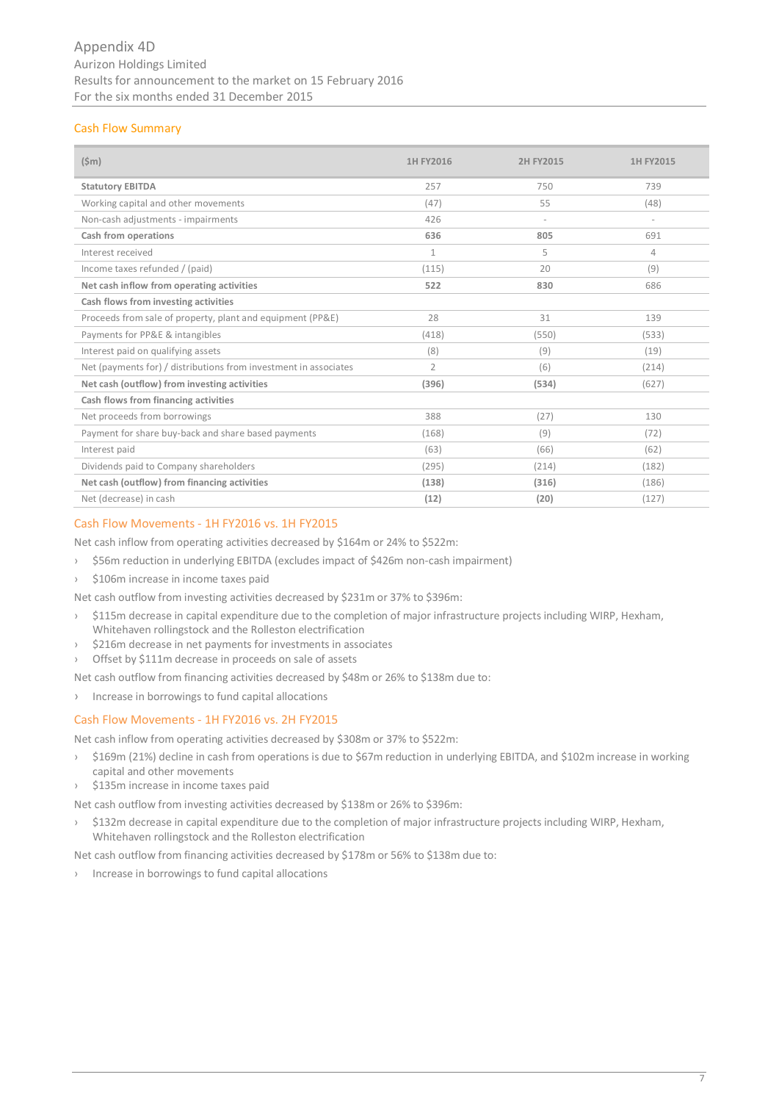# Cash Flow Summary

| $(\$m)$                                                          | 1H FY2016      | 2H FY2015                | 1H FY2015                |
|------------------------------------------------------------------|----------------|--------------------------|--------------------------|
| <b>Statutory EBITDA</b>                                          | 257            | 750                      | 739                      |
| Working capital and other movements                              | (47)           | 55                       | (48)                     |
| Non-cash adjustments - impairments                               | 426            | $\overline{\phantom{a}}$ | $\overline{\phantom{a}}$ |
| Cash from operations                                             | 636            | 805                      | 691                      |
| Interest received                                                | $\mathbf{1}$   | 5                        | 4                        |
| Income taxes refunded / (paid)                                   | (115)          | 20                       | (9)                      |
| Net cash inflow from operating activities                        | 522            | 830                      | 686                      |
| Cash flows from investing activities                             |                |                          |                          |
| Proceeds from sale of property, plant and equipment (PP&E)       | 28             | 31                       | 139                      |
| Payments for PP&E & intangibles                                  | (418)          | (550)                    | (533)                    |
| Interest paid on qualifying assets                               | (8)            | (9)                      | (19)                     |
| Net (payments for) / distributions from investment in associates | $\overline{2}$ | (6)                      | (214)                    |
| Net cash (outflow) from investing activities                     | (396)          | (534)                    | (627)                    |
| Cash flows from financing activities                             |                |                          |                          |
| Net proceeds from borrowings                                     | 388            | (27)                     | 130                      |
| Payment for share buy-back and share based payments              | (168)          | (9)                      | (72)                     |
| Interest paid                                                    | (63)           | (66)                     | (62)                     |
| Dividends paid to Company shareholders                           | (295)          | (214)                    | (182)                    |
| Net cash (outflow) from financing activities                     | (138)          | (316)                    | (186)                    |
| Net (decrease) in cash                                           | (12)           | (20)                     | (127)                    |

# Cash Flow Movements - 1H FY2016 vs. 1H FY2015

Net cash inflow from operating activities decreased by \$164m or 24% to \$522m:

- › \$56m reduction in underlying EBITDA (excludes impact of \$426m non-cash impairment)
- › \$106m increase in income taxes paid

Net cash outflow from investing activities decreased by \$231m or 37% to \$396m:

- › \$115m decrease in capital expenditure due to the completion of major infrastructure projects including WIRP, Hexham, Whitehaven rollingstock and the Rolleston electrification
- › \$216m decrease in net payments for investments in associates
- Offset by \$111m decrease in proceeds on sale of assets

Net cash outflow from financing activities decreased by \$48m or 26% to \$138m due to:

› Increase in borrowings to fund capital allocations

# Cash Flow Movements - 1H FY2016 vs. 2H FY2015

Net cash inflow from operating activities decreased by \$308m or 37% to \$522m:

- › \$169m (21%) decline in cash from operations is due to \$67m reduction in underlying EBITDA, and \$102m increase in working capital and other movements
- › \$135m increase in income taxes paid

Net cash outflow from investing activities decreased by \$138m or 26% to \$396m:

› \$132m decrease in capital expenditure due to the completion of major infrastructure projects including WIRP, Hexham, Whitehaven rollingstock and the Rolleston electrification

Net cash outflow from financing activities decreased by \$178m or 56% to \$138m due to:

› Increase in borrowings to fund capital allocations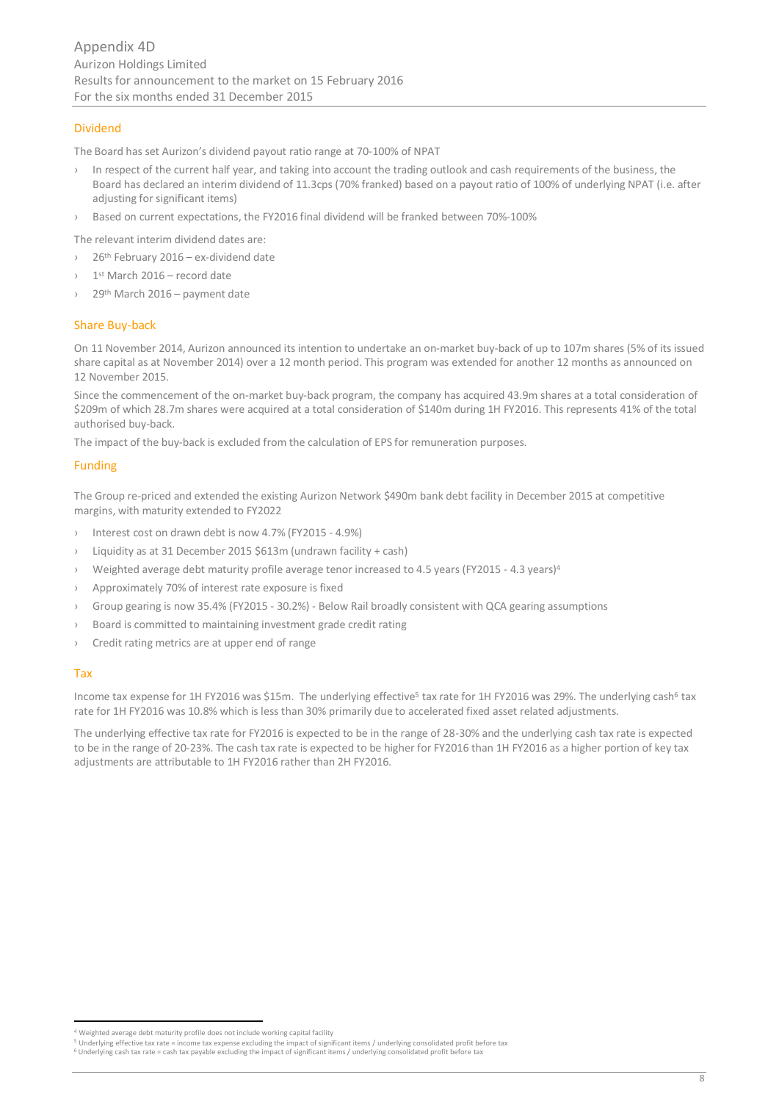# Dividend

The Board has set Aurizon's dividend payout ratio range at 70-100% of NPAT

- › In respect of the current half year, and taking into account the trading outlook and cash requirements of the business, the Board has declared an interim dividend of 11.3cps (70% franked) based on a payout ratio of 100% of underlying NPAT (i.e. after adjusting for significant items)
- › Based on current expectations, the FY2016 final dividend will be franked between 70%-100%

The relevant interim dividend dates are:

- $26<sup>th</sup>$  February 2016 ex-dividend date
- > 1<sup>st</sup> March 2016 record date
- $29<sup>th</sup>$  March 2016 payment date

#### Share Buy-back

On 11 November 2014, Aurizon announced its intention to undertake an on-market buy-back of up to 107m shares (5% of its issued share capital as at November 2014) over a 12 month period. This program was extended for another 12 months as announced on 12 November 2015.

Since the commencement of the on-market buy-back program, the company has acquired 43.9m shares at a total consideration of \$209m of which 28.7m shares were acquired at a total consideration of \$140m during 1H FY2016. This represents 41% of the total authorised buy-back.

The impact of the buy-back is excluded from the calculation of EPS for remuneration purposes.

#### Funding

The Group re-priced and extended the existing Aurizon Network \$490m bank debt facility in December 2015 at competitive margins, with maturity extended to FY2022

- Interest cost on drawn debt is now 4.7% (FY2015 4.9%)
- Liquidity as at 31 December 2015 \$613m (undrawn facility + cash)
- Weighted average debt maturity profile average tenor increased to 4.5 years (FY2015 4.3 years)<sup>4</sup>
- Approximately 70% of interest rate exposure is fixed
- Group gearing is now 35.4% (FY2015 30.2%) Below Rail broadly consistent with QCA gearing assumptions
- Board is committed to maintaining investment grade credit rating
- Credit rating metrics are at upper end of range

#### Tax

Income tax expense for 1H FY2016 was \$15m. The underlying effective<sup>5</sup> tax rate for 1H FY2016 was 29%. The underlying cash<sup>6</sup> tax rate for 1H FY2016 was 10.8% which is less than 30% primarily due to accelerated fixed asset related adjustments.

The underlying effective tax rate for FY2016 is expected to be in the range of 28-30% and the underlying cash tax rate is expected to be in the range of 20-23%. The cash tax rate is expected to be higher for FY2016 than 1H FY2016 as a higher portion of key tax adjustments are attributable to 1H FY2016 rather than 2H FY2016.

 <sup>4</sup> Weighted average debt maturity profile does not include working capital facility

<sup>5</sup> Underlying effective tax rate = income tax expense excluding the impact of significant items / underlying consolidated profit before tax

<sup>6</sup> Underlying cash tax rate = cash tax payable excluding the impact of significant items / underlying consolidated profit before tax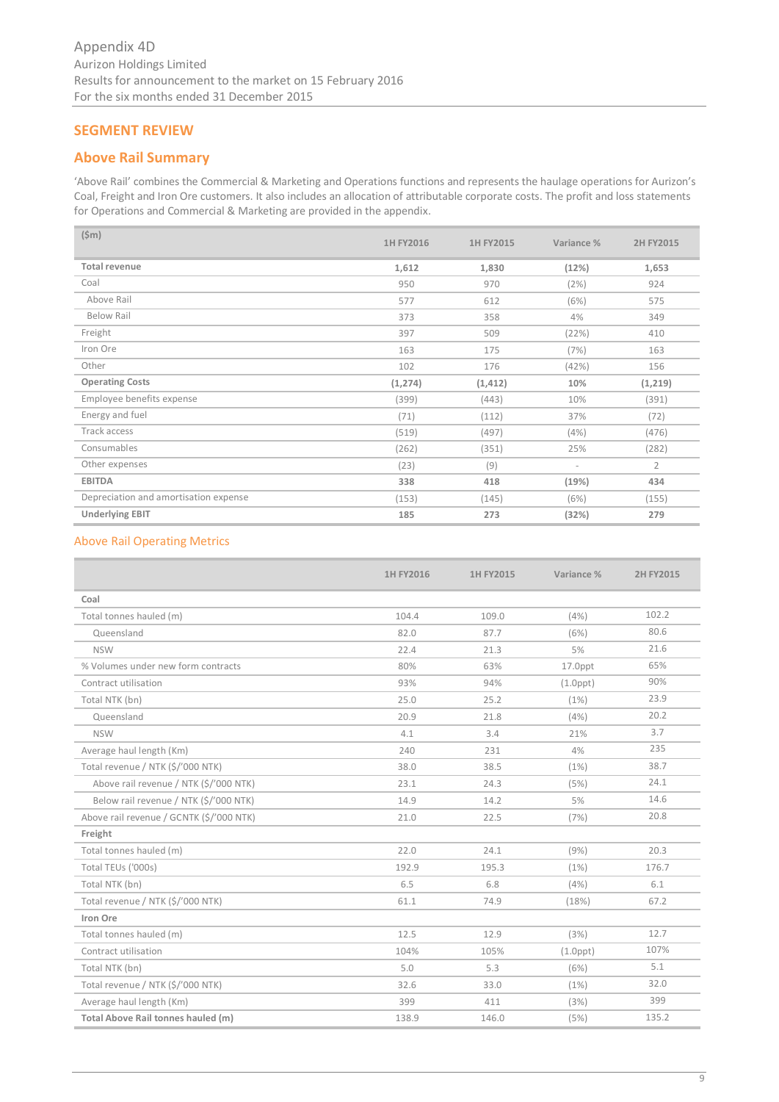# **SEGMENT REVIEW**

# **Above Rail Summary**

'Above Rail' combines the Commercial & Marketing and Operations functions and represents the haulage operations for Aurizon's Coal, Freight and Iron Ore customers. It also includes an allocation of attributable corporate costs. The profit and loss statements for Operations and Commercial & Marketing are provided in the appendix.

| $(\$m)$                               | 1H FY2016 | 1H FY2015 | Variance %               | 2H FY2015      |
|---------------------------------------|-----------|-----------|--------------------------|----------------|
| <b>Total revenue</b>                  | 1,612     | 1,830     | (12%)                    | 1,653          |
| Coal                                  | 950       | 970       | (2%)                     | 924            |
| Above Rail                            | 577       | 612       | (6%)                     | 575            |
| <b>Below Rail</b>                     | 373       | 358       | 4%                       | 349            |
| Freight                               | 397       | 509       | (22%)                    | 410            |
| Iron Ore                              | 163       | 175       | (7%)                     | 163            |
| Other                                 | 102       | 176       | (42%)                    | 156            |
| <b>Operating Costs</b>                | (1, 274)  | (1, 412)  | 10%                      | (1, 219)       |
| Employee benefits expense             | (399)     | (443)     | 10%                      | (391)          |
| Energy and fuel                       | (71)      | (112)     | 37%                      | (72)           |
| Track access                          | (519)     | (497)     | (4%)                     | (476)          |
| Consumables                           | (262)     | (351)     | 25%                      | (282)          |
| Other expenses                        | (23)      | (9)       | $\overline{\phantom{a}}$ | $\overline{2}$ |
| <b>EBITDA</b>                         | 338       | 418       | (19%)                    | 434            |
| Depreciation and amortisation expense | (153)     | (145)     | (6%)                     | (155)          |
| <b>Underlying EBIT</b>                | 185       | 273       | (32%)                    | 279            |

# Above Rail Operating Metrics

|                                          | 1H FY2016 | 1H FY2015 | Variance %     | 2H FY2015 |
|------------------------------------------|-----------|-----------|----------------|-----------|
| Coal                                     |           |           |                |           |
| Total tonnes hauled (m)                  | 104.4     | 109.0     | (4%)           | 102.2     |
| Queensland                               | 82.0      | 87.7      | (6%)           | 80.6      |
| <b>NSW</b>                               | 22.4      | 21.3      | 5%             | 21.6      |
| % Volumes under new form contracts       | 80%       | 63%       | $17.0$ ppt     | 65%       |
| Contract utilisation                     | 93%       | 94%       | $(1.0$ ppt $)$ | 90%       |
| Total NTK (bn)                           | 25.0      | 25.2      | (1%)           | 23.9      |
| Queensland                               | 20.9      | 21.8      | (4%)           | 20.2      |
| <b>NSW</b>                               | 4.1       | 3.4       | 21%            | 3.7       |
| Average haul length (Km)                 | 240       | 231       | 4%             | 235       |
| Total revenue / NTK (\$/'000 NTK)        | 38.0      | 38.5      | (1%)           | 38.7      |
| Above rail revenue / NTK (\$/'000 NTK)   | 23.1      | 24.3      | (5%)           | 24.1      |
| Below rail revenue / NTK (\$/'000 NTK)   | 14.9      | 14.2      | 5%             | 14.6      |
| Above rail revenue / GCNTK (\$/'000 NTK) | 21.0      | 22.5      | (7%)           | 20.8      |
| Freight                                  |           |           |                |           |
| Total tonnes hauled (m)                  | 22.0      | 24.1      | (9%)           | 20.3      |
| Total TEUs ('000s)                       | 192.9     | 195.3     | (1%)           | 176.7     |
| Total NTK (bn)                           | 6.5       | 6.8       | (4%)           | 6.1       |
| Total revenue / NTK (\$/'000 NTK)        | 61.1      | 74.9      | (18%)          | 67.2      |
| Iron Ore                                 |           |           |                |           |
| Total tonnes hauled (m)                  | 12.5      | 12.9      | (3%)           | 12.7      |
| Contract utilisation                     | 104%      | 105%      | $(1.0$ ppt $)$ | 107%      |
| Total NTK (bn)                           | 5.0       | 5.3       | (6%)           | 5.1       |
| Total revenue / NTK (\$/'000 NTK)        | 32.6      | 33.0      | (1%)           | 32.0      |
| Average haul length (Km)                 | 399       | 411       | (3%)           | 399       |
| Total Above Rail tonnes hauled (m)       | 138.9     | 146.0     | (5%)           | 135.2     |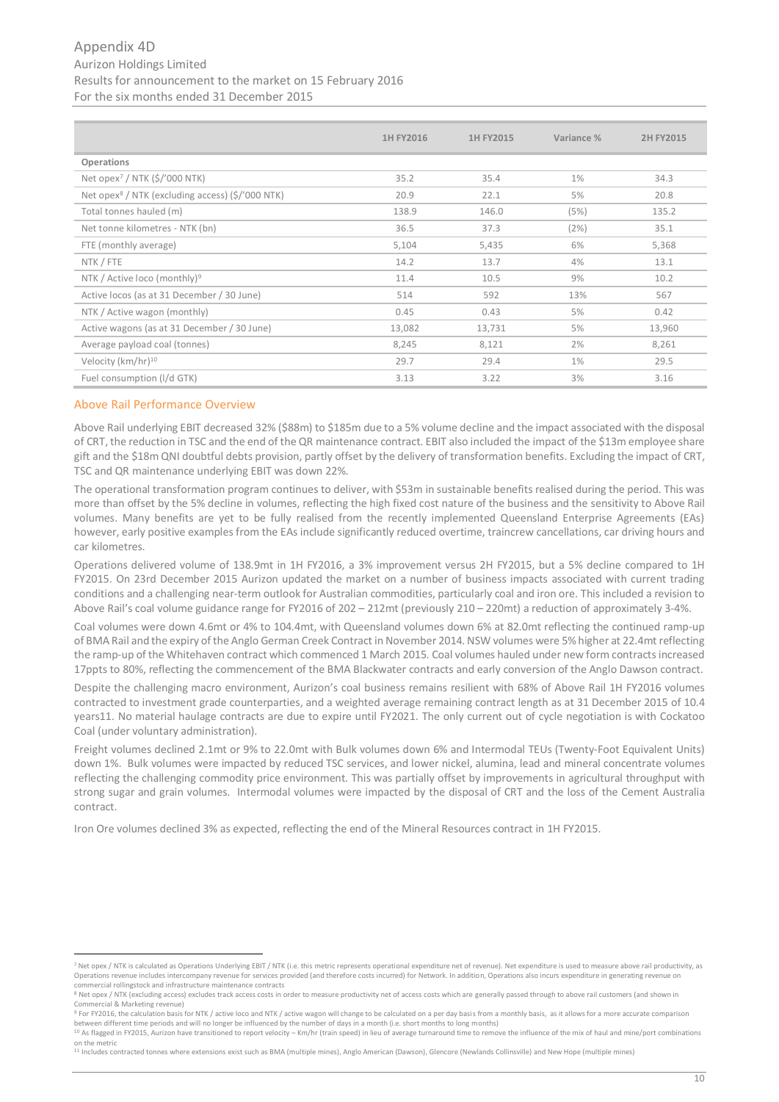# Appendix 4D Aurizon Holdings Limited Results for announcement to the market on 15 February 2016 For the six months ended 31 December 2015

|                                                                          | 1H FY2016 | 1H FY2015 | Variance % | 2H FY2015 |
|--------------------------------------------------------------------------|-----------|-----------|------------|-----------|
| Operations                                                               |           |           |            |           |
| Net opex <sup>7</sup> / NTK $(\frac{2}{5}$ /'000 NTK)                    | 35.2      | 35.4      | $1\%$      | 34.3      |
| Net opex <sup>8</sup> / NTK (excluding access) $(\frac{2}{5})'$ 000 NTK) | 20.9      | 22.1      | 5%         | 20.8      |
| Total tonnes hauled (m)                                                  | 138.9     | 146.0     | (5%)       | 135.2     |
| Net tonne kilometres - NTK (bn)                                          | 36.5      | 37.3      | (2%)       | 35.1      |
| FTE (monthly average)                                                    | 5,104     | 5,435     | 6%         | 5,368     |
| NTK / FTE                                                                | 14.2      | 13.7      | 4%         | 13.1      |
| NTK / Active loco (monthly) <sup>9</sup>                                 | 11.4      | 10.5      | 9%         | 10.2      |
| Active locos (as at 31 December / 30 June)                               | 514       | 592       | 13%        | 567       |
| NTK / Active wagon (monthly)                                             | 0.45      | 0.43      | 5%         | 0.42      |
| Active wagons (as at 31 December / 30 June)                              | 13,082    | 13,731    | 5%         | 13,960    |
| Average payload coal (tonnes)                                            | 8,245     | 8,121     | 2%         | 8,261     |
| Velocity ( $km/hr$ ) <sup>10</sup>                                       | 29.7      | 29.4      | $1\%$      | 29.5      |
| Fuel consumption (I/d GTK)                                               | 3.13      | 3.22      | 3%         | 3.16      |

#### Above Rail Performance Overview

**.** 

Above Rail underlying EBIT decreased 32% (\$88m) to \$185m due to a 5% volume decline and the impact associated with the disposal of CRT, the reduction in TSC and the end of the QR maintenance contract. EBIT also included the impact of the \$13m employee share gift and the \$18m QNI doubtful debts provision, partly offset by the delivery of transformation benefits. Excluding the impact of CRT, TSC and QR maintenance underlying EBIT was down 22%.

The operational transformation program continues to deliver, with \$53m in sustainable benefits realised during the period. This was more than offset by the 5% decline in volumes, reflecting the high fixed cost nature of the business and the sensitivity to Above Rail volumes. Many benefits are yet to be fully realised from the recently implemented Queensland Enterprise Agreements (EAs) however, early positive examples from the EAs include significantly reduced overtime, traincrew cancellations, car driving hours and car kilometres.

Operations delivered volume of 138.9mt in 1H FY2016, a 3% improvement versus 2H FY2015, but a 5% decline compared to 1H FY2015. On 23rd December 2015 Aurizon updated the market on a number of business impacts associated with current trading conditions and a challenging near-term outlook for Australian commodities, particularly coal and iron ore. This included a revision to Above Rail's coal volume guidance range for FY2016 of 202 – 212mt (previously 210 – 220mt) a reduction of approximately 3-4%.

Coal volumes were down 4.6mt or 4% to 104.4mt, with Queensland volumes down 6% at 82.0mt reflecting the continued ramp-up of BMA Rail and the expiry of the Anglo German Creek Contract in November 2014. NSW volumes were 5% higher at 22.4mt reflecting the ramp-up of the Whitehaven contract which commenced 1 March 2015. Coal volumes hauled under new form contracts increased 17ppts to 80%, reflecting the commencement of the BMA Blackwater contracts and early conversion of the Anglo Dawson contract.

Despite the challenging macro environment, Aurizon's coal business remains resilient with 68% of Above Rail 1H FY2016 volumes contracted to investment grade counterparties, and a weighted average remaining contract length as at 31 December 2015 of 10.4 years11. No material haulage contracts are due to expire until FY2021. The only current out of cycle negotiation is with Cockatoo Coal (under voluntary administration).

Freight volumes declined 2.1mt or 9% to 22.0mt with Bulk volumes down 6% and Intermodal TEUs (Twenty-Foot Equivalent Units) down 1%. Bulk volumes were impacted by reduced TSC services, and lower nickel, alumina, lead and mineral concentrate volumes reflecting the challenging commodity price environment. This was partially offset by improvements in agricultural throughput with strong sugar and grain volumes. Intermodal volumes were impacted by the disposal of CRT and the loss of the Cement Australia contract.

Iron Ore volumes declined 3% as expected, reflecting the end of the Mineral Resources contract in 1H FY2015.

<sup>9</sup> For FY2016, the calculation basis for NTK / active loco and NTK / active wagon will change to be calculated on a per day basis from a monthly basis, as it allows for a more accurate comparison between different time periods and will no longer be influenced by the number of days in a month (i.e. short months to long months)<br><sup>10</sup> As flagged in FY2015, Aurizon have transitioned to report velocity – Km/hr (train spe

<sup>&</sup>lt;sup>7</sup> Net opex / NTK is calculated as Operations Underlying EBIT / NTK (i.e. this metric represents operational expenditure net of revenue). Net expenditure is used to measure above rail productivity, as Operations revenue includes intercompany revenue for services provided (and therefore costs incurred) for Network. In addition, Operations also incurs expenditure in generating revenue on commercial rollingstock and infrastructure maintenance contracts

<sup>8</sup> Net opex / NTK (excluding access) excludes track access costs in order to measure productivity net of access costs which are generally passed through to above rail customers (and shown in Commercial & Marketing revenue)

on the metric

<sup>&</sup>lt;sup>11</sup> Includes contracted tonnes where extensions exist such as BMA (multiple mines), Anglo American (Dawson), Glencore (Newlands Collinsville) and New Hope (multiple mines)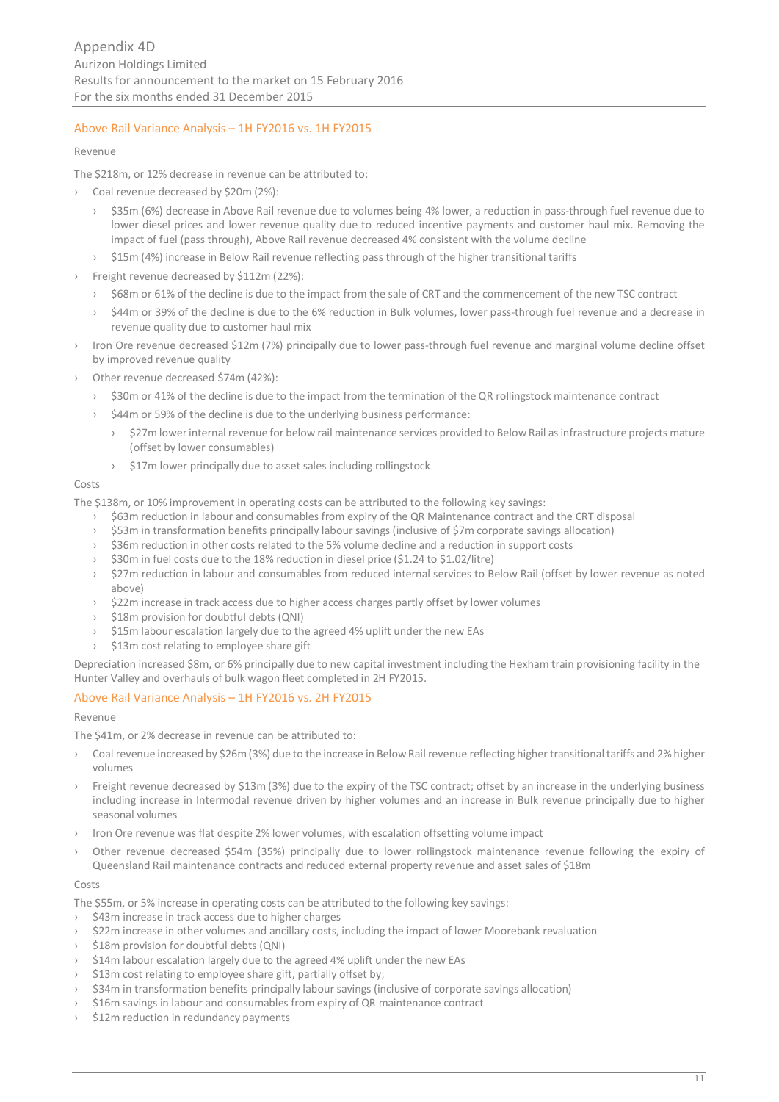# Above Rail Variance Analysis – 1H FY2016 vs. 1H FY2015

#### Revenue

The \$218m, or 12% decrease in revenue can be attributed to:

- › Coal revenue decreased by \$20m (2%):
	- › \$35m (6%) decrease in Above Rail revenue due to volumes being 4% lower, a reduction in pass-through fuel revenue due to lower diesel prices and lower revenue quality due to reduced incentive payments and customer haul mix. Removing the impact of fuel (pass through), Above Rail revenue decreased 4% consistent with the volume decline
	- \$15m (4%) increase in Below Rail revenue reflecting pass through of the higher transitional tariffs
- Freight revenue decreased by \$112m (22%):
	- › \$68m or 61% of the decline is due to the impact from the sale of CRT and the commencement of the new TSC contract
	- \$44m or 39% of the decline is due to the 6% reduction in Bulk volumes, lower pass-through fuel revenue and a decrease in revenue quality due to customer haul mix
- Iron Ore revenue decreased \$12m (7%) principally due to lower pass-through fuel revenue and marginal volume decline offset by improved revenue quality
- Other revenue decreased \$74m (42%):
	- \$30m or 41% of the decline is due to the impact from the termination of the QR rollingstock maintenance contract
	- \$44m or 59% of the decline is due to the underlying business performance:
		- \$27m lower internal revenue for below rail maintenance services provided to Below Rail as infrastructure projects mature (offset by lower consumables)
		- › \$17m lower principally due to asset sales including rollingstock

#### Costs

The \$138m, or 10% improvement in operating costs can be attributed to the following key savings:

- › \$63m reduction in labour and consumables from expiry of the QR Maintenance contract and the CRT disposal
- › \$53m in transformation benefits principally labour savings (inclusive of \$7m corporate savings allocation)
- › \$36m reduction in other costs related to the 5% volume decline and a reduction in support costs
- › \$30m in fuel costs due to the 18% reduction in diesel price (\$1.24 to \$1.02/litre)
- › \$27m reduction in labour and consumables from reduced internal services to Below Rail (offset by lower revenue as noted above)
- › \$22m increase in track access due to higher access charges partly offset by lower volumes
- › \$18m provision for doubtful debts (QNI)
- \$15m labour escalation largely due to the agreed 4% uplift under the new EAs
- \$13m cost relating to employee share gift

Depreciation increased \$8m, or 6% principally due to new capital investment including the Hexham train provisioning facility in the Hunter Valley and overhauls of bulk wagon fleet completed in 2H FY2015.

# Above Rail Variance Analysis – 1H FY2016 vs. 2H FY2015

#### Revenue

The \$41m, or 2% decrease in revenue can be attributed to:

- › Coal revenue increased by \$26m (3%) due to the increase in Below Rail revenue reflecting higher transitional tariffs and 2% higher volumes
- Freight revenue decreased by \$13m (3%) due to the expiry of the TSC contract; offset by an increase in the underlying business including increase in Intermodal revenue driven by higher volumes and an increase in Bulk revenue principally due to higher seasonal volumes
- Iron Ore revenue was flat despite 2% lower volumes, with escalation offsetting volume impact
- Other revenue decreased \$54m (35%) principally due to lower rollingstock maintenance revenue following the expiry of Queensland Rail maintenance contracts and reduced external property revenue and asset sales of \$18m

#### Costs

The \$55m, or 5% increase in operating costs can be attributed to the following key savings:

- \$43m increase in track access due to higher charges
- \$22m increase in other volumes and ancillary costs, including the impact of lower Moorebank revaluation
- \$18m provision for doubtful debts (QNI)
- \$14m labour escalation largely due to the agreed 4% uplift under the new EAs
- \$13m cost relating to employee share gift, partially offset by;
- \$34m in transformation benefits principally labour savings (inclusive of corporate savings allocation)
- \$16m savings in labour and consumables from expiry of QR maintenance contract
- \$12m reduction in redundancy payments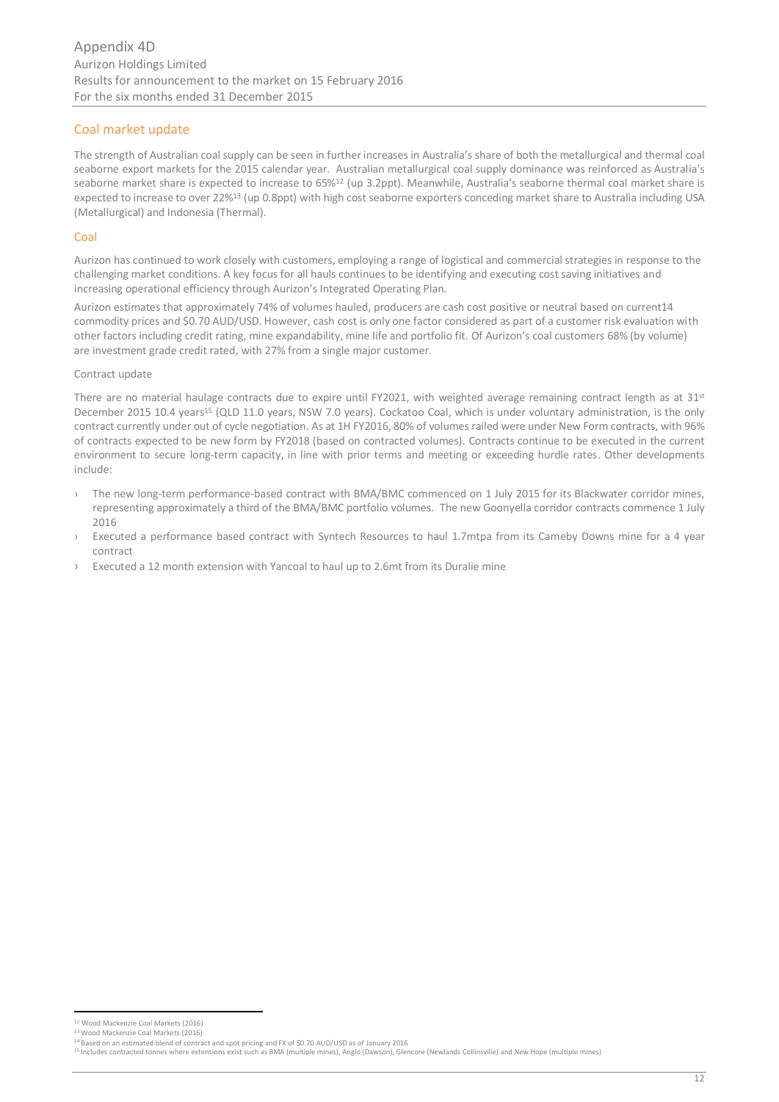# Coal market update

The strength of Australian coal supply can be seen in further increases in Australia's share of both the metallurgical and thermal coal seaborne export markets for the 2015 calendar year. Australian metallurgical coal supply dominance was reinforced as Australia's seaborne market share is expected to increase to 65%<sup>12</sup> (up 3.2ppt). Meanwhile, Australia's seaborne thermal coal market share is expected to increase to over 22%<sup>13</sup> (up 0.8ppt) with high cost seaborne exporters conceding market share to Australia including USA (Metallurgical) and Indonesia (Thermal).

# Coal

Aurizon has continued to work closely with customers, employing a range of logistical and commercial strategies in response to the challenging market conditions. A key focus for all hauls continues to be identifying and executing cost saving initiatives and increasing operational efficiency through Aurizon's Integrated Operating Plan.

Aurizon estimates that approximately 74% of volumes hauled, producers are cash cost positive or neutral based on current14 commodity prices and \$0.70 AUD/USD. However, cash cost is only one factor considered as part of a customer risk evaluation with other factors including credit rating, mine expandability, mine life and portfolio fit. Of Aurizon's coal customers 68% (by volume) are investment grade credit rated, with 27% from a single major customer.

# Contract update

There are no material haulage contracts due to expire until FY2021, with weighted average remaining contract length as at 31<sup>st</sup> December 2015 10.4 years<sup>15</sup> (QLD 11.0 years, NSW 7.0 years). Cockatoo Coal, which is under voluntary administration, is the only contract currently under out of cycle negotiation. As at 1H FY2016, 80% of volumes railed were under New Form contracts, with 96% of contracts expected to be new form by FY2018 (based on contracted volumes). Contracts continue to be executed in the current environment to secure long-term capacity, in line with prior terms and meeting or exceeding hurdle rates. Other developments include:

- › The new long-term performance-based contract with BMA/BMC commenced on 1 July 2015 for its Blackwater corridor mines, representing approximately a third of the BMA/BMC portfolio volumes. The new Goonyella corridor contracts commence 1 July 2016
- Executed a performance based contract with Syntech Resources to haul 1.7mtpa from its Cameby Downs mine for a 4 year contract
- Executed a 12 month extension with Yancoal to haul up to 2.6mt from its Duralie mine

**<sup>12</sup>**<br><sup>12</sup> Wood Mackenzie Coal Markets (2016)

<sup>13</sup> Wood Mackenzie Coal Markets (2016)

<sup>14</sup> Based on an estimated blend of contract and spot pricing and FX of \$0.70 AUD/USD as of January 2016

<sup>15</sup> Includes contracted tonnes where extensions exist such as BMA (multiple mines), Anglo (Dawson), Glencore (Newlands Collinsville) and New Hope (multiple mines)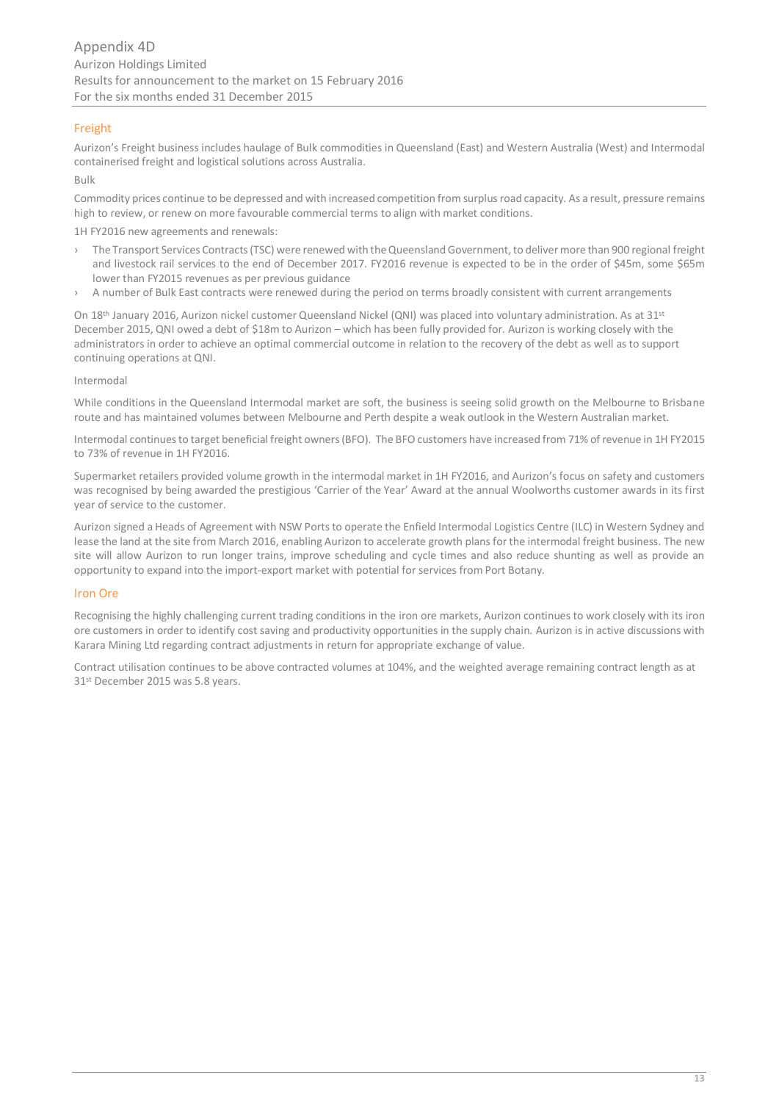# Freight

Aurizon's Freight business includes haulage of Bulk commodities in Queensland (East) and Western Australia (West) and Intermodal containerised freight and logistical solutions across Australia.

Bulk

Commodity prices continue to be depressed and with increased competition from surplus road capacity. As a result, pressure remains high to review, or renew on more favourable commercial terms to align with market conditions.

1H FY2016 new agreements and renewals:

- › The Transport Services Contracts (TSC) were renewed with the Queensland Government, to deliver more than 900 regional freight and livestock rail services to the end of December 2017. FY2016 revenue is expected to be in the order of \$45m, some \$65m lower than FY2015 revenues as per previous guidance
- A number of Bulk East contracts were renewed during the period on terms broadly consistent with current arrangements

On 18<sup>th</sup> January 2016, Aurizon nickel customer Queensland Nickel (QNI) was placed into voluntary administration. As at 31<sup>st</sup> December 2015, QNI owed a debt of \$18m to Aurizon – which has been fully provided for. Aurizon is working closely with the administrators in order to achieve an optimal commercial outcome in relation to the recovery of the debt as well as to support continuing operations at QNI.

# Intermodal

While conditions in the Queensland Intermodal market are soft, the business is seeing solid growth on the Melbourne to Brisbane route and has maintained volumes between Melbourne and Perth despite a weak outlook in the Western Australian market.

Intermodal continues to target beneficial freight owners (BFO). The BFO customers have increased from 71% of revenue in 1H FY2015 to 73% of revenue in 1H FY2016.

Supermarket retailers provided volume growth in the intermodal market in 1H FY2016, and Aurizon's focus on safety and customers was recognised by being awarded the prestigious 'Carrier of the Year' Award at the annual Woolworths customer awards in its first year of service to the customer.

Aurizon signed a Heads of Agreement with NSW Ports to operate the Enfield Intermodal Logistics Centre (ILC) in Western Sydney and lease the land at the site from March 2016, enabling Aurizon to accelerate growth plans for the intermodal freight business. The new site will allow Aurizon to run longer trains, improve scheduling and cycle times and also reduce shunting as well as provide an opportunity to expand into the import-export market with potential for services from Port Botany.

# Iron Ore

Recognising the highly challenging current trading conditions in the iron ore markets, Aurizon continues to work closely with its iron ore customers in order to identify cost saving and productivity opportunities in the supply chain. Aurizon is in active discussions with Karara Mining Ltd regarding contract adjustments in return for appropriate exchange of value.

Contract utilisation continues to be above contracted volumes at 104%, and the weighted average remaining contract length as at 31st December 2015 was 5.8 years.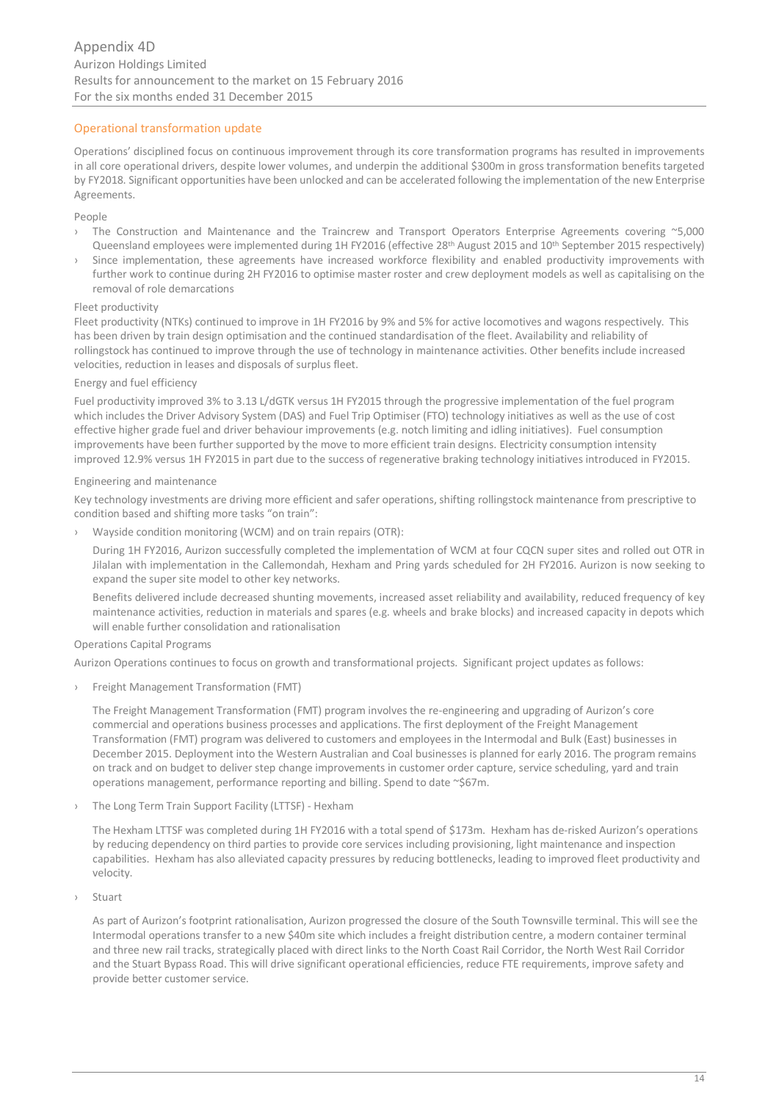# Operational transformation update

Operations' disciplined focus on continuous improvement through its core transformation programs has resulted in improvements in all core operational drivers, despite lower volumes, and underpin the additional \$300m in gross transformation benefits targeted by FY2018. Significant opportunities have been unlocked and can be accelerated following the implementation of the new Enterprise Agreements.

#### People

- The Construction and Maintenance and the Traincrew and Transport Operators Enterprise Agreements covering ~5,000 Queensland employees were implemented during 1H FY2016 (effective 28<sup>th</sup> August 2015 and 10<sup>th</sup> September 2015 respectively)
- Since implementation, these agreements have increased workforce flexibility and enabled productivity improvements with further work to continue during 2H FY2016 to optimise master roster and crew deployment models as well as capitalising on the removal of role demarcations

#### Fleet productivity

Fleet productivity (NTKs) continued to improve in 1H FY2016 by 9% and 5% for active locomotives and wagons respectively. This has been driven by train design optimisation and the continued standardisation of the fleet. Availability and reliability of rollingstock has continued to improve through the use of technology in maintenance activities. Other benefits include increased velocities, reduction in leases and disposals of surplus fleet.

#### Energy and fuel efficiency

Fuel productivity improved 3% to 3.13 L/dGTK versus 1H FY2015 through the progressive implementation of the fuel program which includes the Driver Advisory System (DAS) and Fuel Trip Optimiser (FTO) technology initiatives as well as the use of cost effective higher grade fuel and driver behaviour improvements (e.g. notch limiting and idling initiatives). Fuel consumption improvements have been further supported by the move to more efficient train designs. Electricity consumption intensity improved 12.9% versus 1H FY2015 in part due to the success of regenerative braking technology initiatives introduced in FY2015.

#### Engineering and maintenance

Key technology investments are driving more efficient and safer operations, shifting rollingstock maintenance from prescriptive to condition based and shifting more tasks "on train":

Wayside condition monitoring (WCM) and on train repairs (OTR):

During 1H FY2016, Aurizon successfully completed the implementation of WCM at four CQCN super sites and rolled out OTR in Jilalan with implementation in the Callemondah, Hexham and Pring yards scheduled for 2H FY2016. Aurizon is now seeking to expand the super site model to other key networks.

Benefits delivered include decreased shunting movements, increased asset reliability and availability, reduced frequency of key maintenance activities, reduction in materials and spares (e.g. wheels and brake blocks) and increased capacity in depots which will enable further consolidation and rationalisation

# Operations Capital Programs

Aurizon Operations continues to focus on growth and transformational projects. Significant project updates as follows:

› Freight Management Transformation (FMT)

The Freight Management Transformation (FMT) program involves the re-engineering and upgrading of Aurizon's core commercial and operations business processes and applications. The first deployment of the Freight Management Transformation (FMT) program was delivered to customers and employees in the Intermodal and Bulk (East) businesses in December 2015. Deployment into the Western Australian and Coal businesses is planned for early 2016. The program remains on track and on budget to deliver step change improvements in customer order capture, service scheduling, yard and train operations management, performance reporting and billing. Spend to date ~\$67m.

The Long Term Train Support Facility (LTTSF) - Hexham

The Hexham LTTSF was completed during 1H FY2016 with a total spend of \$173m. Hexham has de-risked Aurizon's operations by reducing dependency on third parties to provide core services including provisioning, light maintenance and inspection capabilities. Hexham has also alleviated capacity pressures by reducing bottlenecks, leading to improved fleet productivity and velocity.

**Stuart** 

As part of Aurizon's footprint rationalisation, Aurizon progressed the closure of the South Townsville terminal. This will see the Intermodal operations transfer to a new \$40m site which includes a freight distribution centre, a modern container terminal and three new rail tracks, strategically placed with direct links to the North Coast Rail Corridor, the North West Rail Corridor and the Stuart Bypass Road. This will drive significant operational efficiencies, reduce FTE requirements, improve safety and provide better customer service.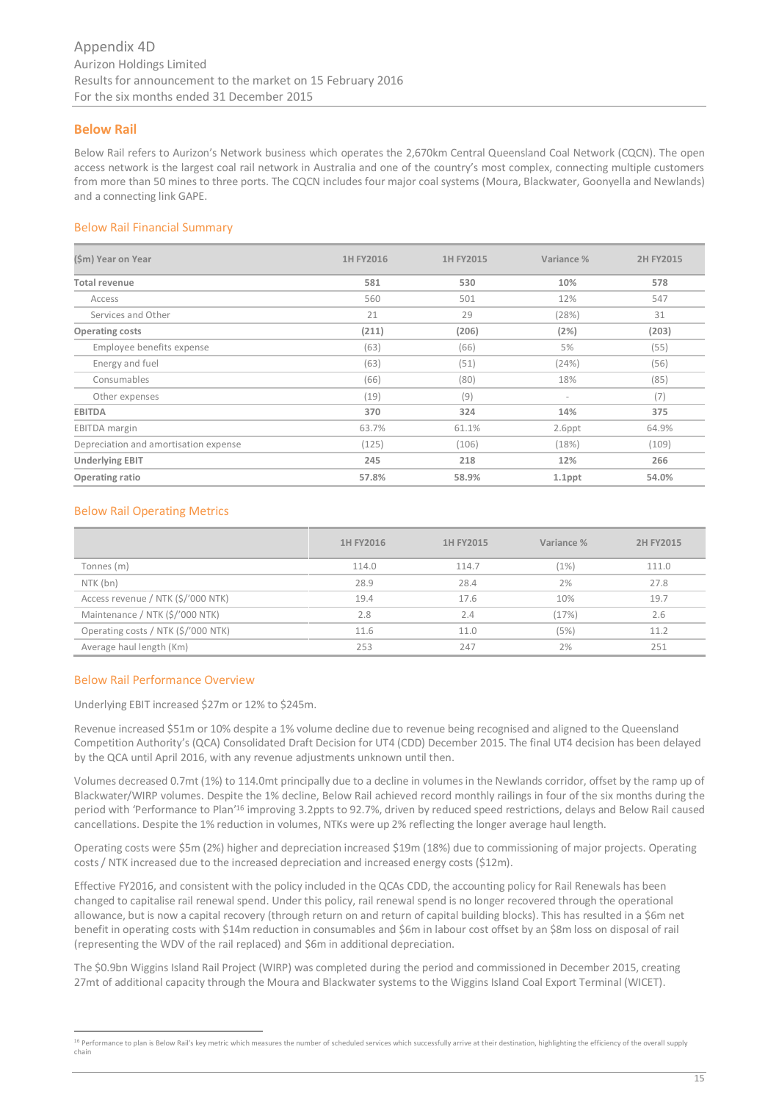# **Below Rail**

Below Rail refers to Aurizon's Network business which operates the 2,670km Central Queensland Coal Network (CQCN). The open access network is the largest coal rail network in Australia and one of the country's most complex, connecting multiple customers from more than 50 mines to three ports. The CQCN includes four major coal systems (Moura, Blackwater, Goonyella and Newlands) and a connecting link GAPE.

### Below Rail Financial Summary

| (\$m) Year on Year                    | 1H FY2016 | 1H FY2015 | Variance %               | 2H FY2015 |
|---------------------------------------|-----------|-----------|--------------------------|-----------|
| <b>Total revenue</b>                  | 581       | 530       | 10%                      | 578       |
| Access                                | 560       | 501       | 12%                      | 547       |
| Services and Other                    | 21        | 29        | (28%)                    | 31        |
| <b>Operating costs</b>                | (211)     | (206)     | (2%)                     | (203)     |
| Employee benefits expense             | (63)      | (66)      | 5%                       | (55)      |
| Energy and fuel                       | (63)      | (51)      | (24%)                    | (56)      |
| Consumables                           | (66)      | (80)      | 18%                      | (85)      |
| Other expenses                        | (19)      | (9)       | $\overline{\phantom{a}}$ | (7)       |
| <b>EBITDA</b>                         | 370       | 324       | 14%                      | 375       |
| <b>EBITDA</b> margin                  | 63.7%     | 61.1%     | 2.6ppt                   | 64.9%     |
| Depreciation and amortisation expense | (125)     | (106)     | (18%)                    | (109)     |
| <b>Underlying EBIT</b>                | 245       | 218       | 12%                      | 266       |
| Operating ratio                       | 57.8%     | 58.9%     | $1.1$ ppt                | 54.0%     |

# Below Rail Operating Metrics

|                                     | 1H FY2016 | 1H FY2015 | Variance % | 2H FY2015 |
|-------------------------------------|-----------|-----------|------------|-----------|
| Tonnes (m)                          | 114.0     | 114.7     | (1%)       | 111.0     |
| NTK (bn)                            | 28.9      | 28.4      | 2%         | 27.8      |
| Access revenue / NTK (\$/'000 NTK)  | 19.4      | 17.6      | 10%        | 19.7      |
| Maintenance / NTK (\$/'000 NTK)     | 2.8       | 2.4       | (17%)      | 2.6       |
| Operating costs / NTK (\$/'000 NTK) | 11.6      | 11.0      | (5%)       | 11.2      |
| Average haul length (Km)            | 253       | 247       | 2%         | 251       |

#### Below Rail Performance Overview

Underlying EBIT increased \$27m or 12% to \$245m.

Revenue increased \$51m or 10% despite a 1% volume decline due to revenue being recognised and aligned to the Queensland Competition Authority's (QCA) Consolidated Draft Decision for UT4 (CDD) December 2015. The final UT4 decision has been delayed by the QCA until April 2016, with any revenue adjustments unknown until then.

Volumes decreased 0.7mt (1%) to 114.0mt principally due to a decline in volumes in the Newlands corridor, offset by the ramp up of Blackwater/WIRP volumes. Despite the 1% decline, Below Rail achieved record monthly railings in four of the six months during the period with 'Performance to Plan<sup>'16</sup> improving 3.2ppts to 92.7%, driven by reduced speed restrictions, delays and Below Rail caused cancellations. Despite the 1% reduction in volumes, NTKs were up 2% reflecting the longer average haul length.

Operating costs were \$5m (2%) higher and depreciation increased \$19m (18%) due to commissioning of major projects. Operating costs / NTK increased due to the increased depreciation and increased energy costs (\$12m).

Effective FY2016, and consistent with the policy included in the QCAs CDD, the accounting policy for Rail Renewals has been changed to capitalise rail renewal spend. Under this policy, rail renewal spend is no longer recovered through the operational allowance, but is now a capital recovery (through return on and return of capital building blocks). This has resulted in a \$6m net benefit in operating costs with \$14m reduction in consumables and \$6m in labour cost offset by an \$8m loss on disposal of rail (representing the WDV of the rail replaced) and \$6m in additional depreciation.

The \$0.9bn Wiggins Island Rail Project (WIRP) was completed during the period and commissioned in December 2015, creating 27mt of additional capacity through the Moura and Blackwater systems to the Wiggins Island Coal Export Terminal (WICET).

<sup>16</sup> Performance to plan is Below Rail's key metric which measures the number of scheduled services which successfully arrive at their destination, highlighting the efficiency of the overall supply chain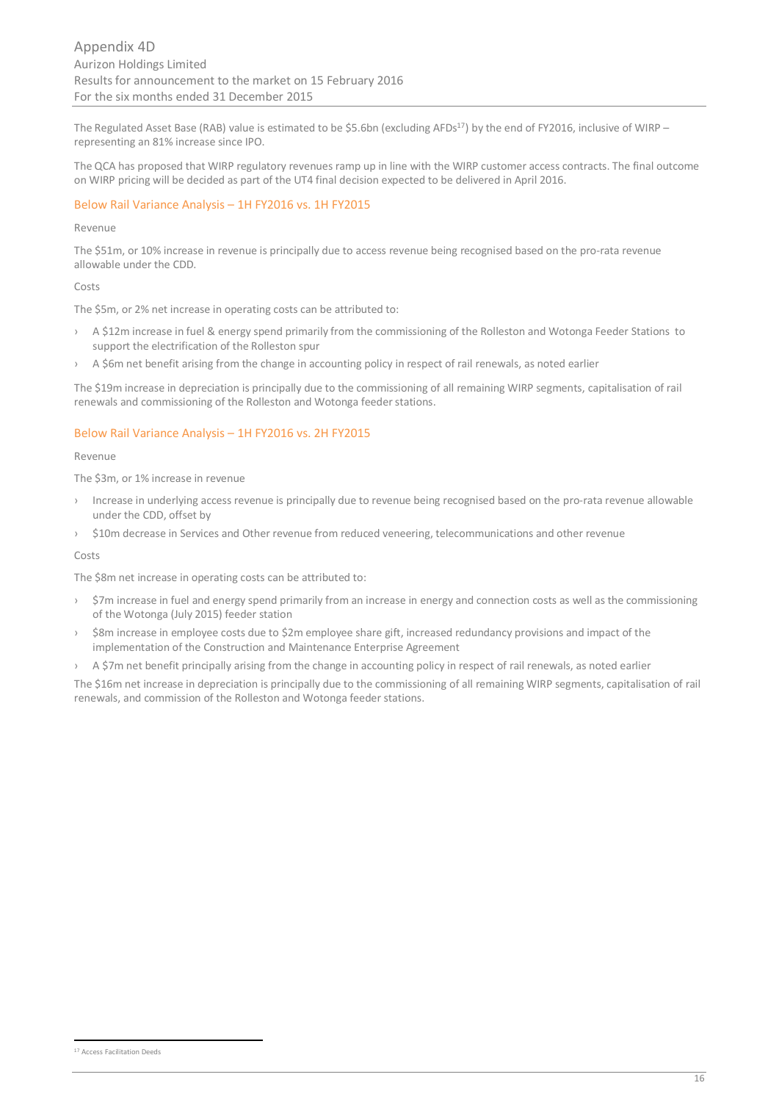The Regulated Asset Base (RAB) value is estimated to be \$5.6bn (excluding AFDs<sup>17</sup>) by the end of FY2016, inclusive of WIRP – representing an 81% increase since IPO.

The QCA has proposed that WIRP regulatory revenues ramp up in line with the WIRP customer access contracts. The final outcome on WIRP pricing will be decided as part of the UT4 final decision expected to be delivered in April 2016.

# Below Rail Variance Analysis – 1H FY2016 vs. 1H FY2015

#### Revenue

The \$51m, or 10% increase in revenue is principally due to access revenue being recognised based on the pro-rata revenue allowable under the CDD.

#### Costs

The \$5m, or 2% net increase in operating costs can be attributed to:

- › A \$12m increase in fuel & energy spend primarily from the commissioning of the Rolleston and Wotonga Feeder Stations to support the electrification of the Rolleston spur
- A \$6m net benefit arising from the change in accounting policy in respect of rail renewals, as noted earlier

The \$19m increase in depreciation is principally due to the commissioning of all remaining WIRP segments, capitalisation of rail renewals and commissioning of the Rolleston and Wotonga feeder stations.

# Below Rail Variance Analysis – 1H FY2016 vs. 2H FY2015

#### Revenue

The \$3m, or 1% increase in revenue

- › Increase in underlying access revenue is principally due to revenue being recognised based on the pro-rata revenue allowable under the CDD, offset by
- › \$10m decrease in Services and Other revenue from reduced veneering, telecommunications and other revenue

#### Costs

The \$8m net increase in operating costs can be attributed to:

- › \$7m increase in fuel and energy spend primarily from an increase in energy and connection costs as well as the commissioning of the Wotonga (July 2015) feeder station
- › \$8m increase in employee costs due to \$2m employee share gift, increased redundancy provisions and impact of the implementation of the Construction and Maintenance Enterprise Agreement
- A \$7m net benefit principally arising from the change in accounting policy in respect of rail renewals, as noted earlier

The \$16m net increase in depreciation is principally due to the commissioning of all remaining WIRP segments, capitalisation of rail renewals, and commission of the Rolleston and Wotonga feeder stations.

<sup>17</sup> Access Facilitation Deeds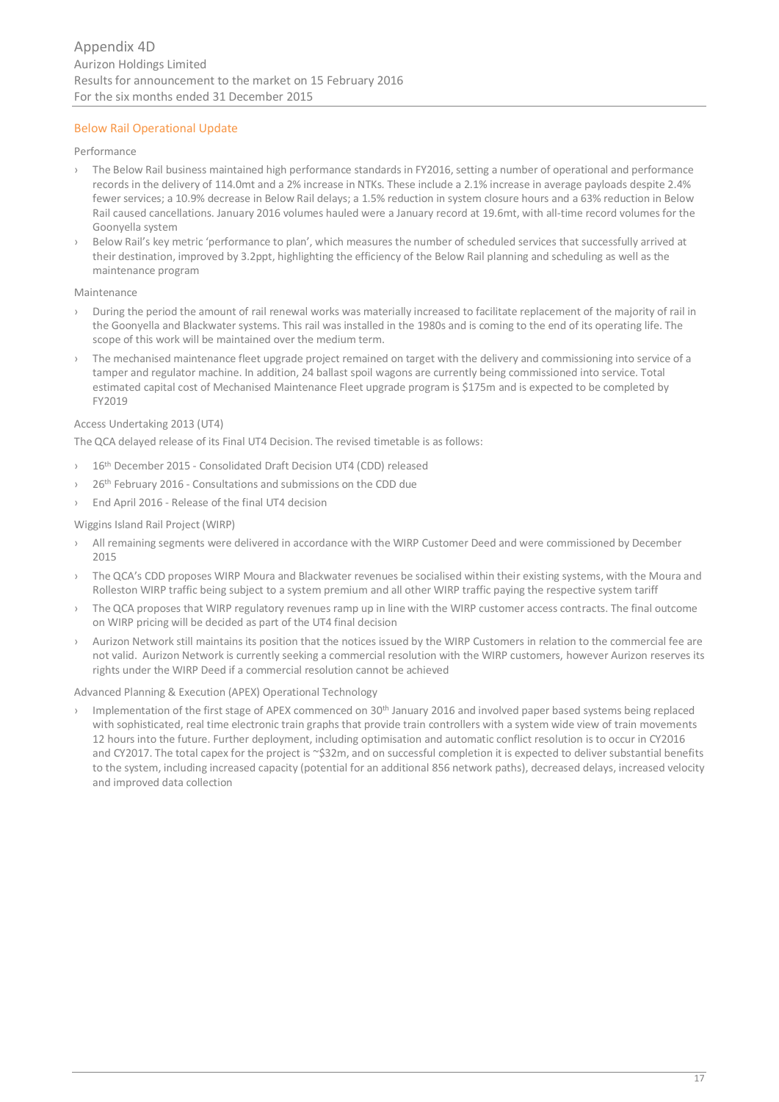# Below Rail Operational Update

#### Performance

- › The Below Rail business maintained high performance standards in FY2016, setting a number of operational and performance records in the delivery of 114.0mt and a 2% increase in NTKs. These include a 2.1% increase in average payloads despite 2.4% fewer services; a 10.9% decrease in Below Rail delays; a 1.5% reduction in system closure hours and a 63% reduction in Below Rail caused cancellations. January 2016 volumes hauled were a January record at 19.6mt, with all-time record volumes for the Goonyella system
- Below Rail's key metric 'performance to plan', which measures the number of scheduled services that successfully arrived at their destination, improved by 3.2ppt, highlighting the efficiency of the Below Rail planning and scheduling as well as the maintenance program

#### Maintenance

- › During the period the amount of rail renewal works was materially increased to facilitate replacement of the majority of rail in the Goonyella and Blackwater systems. This rail was installed in the 1980s and is coming to the end of its operating life. The scope of this work will be maintained over the medium term.
- The mechanised maintenance fleet upgrade project remained on target with the delivery and commissioning into service of a tamper and regulator machine. In addition, 24 ballast spoil wagons are currently being commissioned into service. Total estimated capital cost of Mechanised Maintenance Fleet upgrade program is \$175m and is expected to be completed by FY2019

# Access Undertaking 2013 (UT4)

The QCA delayed release of its Final UT4 Decision. The revised timetable is as follows:

- 16th December 2015 Consolidated Draft Decision UT4 (CDD) released
- 26<sup>th</sup> February 2016 Consultations and submissions on the CDD due
- › End April 2016 Release of the final UT4 decision

#### Wiggins Island Rail Project (WIRP)

- All remaining segments were delivered in accordance with the WIRP Customer Deed and were commissioned by December 2015
- The QCA's CDD proposes WIRP Moura and Blackwater revenues be socialised within their existing systems, with the Moura and Rolleston WIRP traffic being subject to a system premium and all other WIRP traffic paying the respective system tariff
- The QCA proposes that WIRP regulatory revenues ramp up in line with the WIRP customer access contracts. The final outcome on WIRP pricing will be decided as part of the UT4 final decision
- Aurizon Network still maintains its position that the notices issued by the WIRP Customers in relation to the commercial fee are not valid. Aurizon Network is currently seeking a commercial resolution with the WIRP customers, however Aurizon reserves its rights under the WIRP Deed if a commercial resolution cannot be achieved

#### Advanced Planning & Execution (APEX) Operational Technology

Implementation of the first stage of APEX commenced on 30<sup>th</sup> January 2016 and involved paper based systems being replaced with sophisticated, real time electronic train graphs that provide train controllers with a system wide view of train movements 12 hours into the future. Further deployment, including optimisation and automatic conflict resolution is to occur in CY2016 and CY2017. The total capex for the project is ~\$32m, and on successful completion it is expected to deliver substantial benefits to the system, including increased capacity (potential for an additional 856 network paths), decreased delays, increased velocity and improved data collection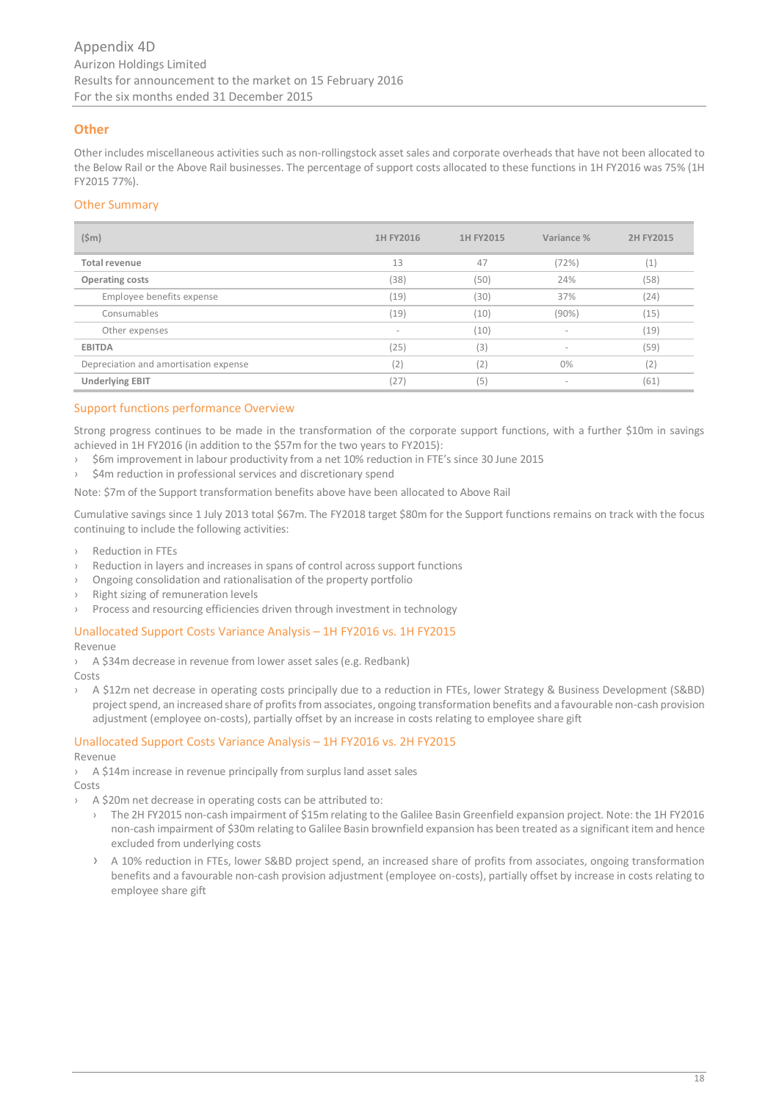# **Other**

Other includes miscellaneous activities such as non-rollingstock asset sales and corporate overheads that have not been allocated to the Below Rail or the Above Rail businesses. The percentage of support costs allocated to these functions in 1H FY2016 was 75% (1H FY2015 77%).

# Other Summary

| $(\$m)$                               | 1H FY2016 | 1H FY2015 | Variance %               | 2H FY2015 |
|---------------------------------------|-----------|-----------|--------------------------|-----------|
| Total revenue                         | 13        | 47        | (72%)                    | (1)       |
| <b>Operating costs</b>                | (38)      | (50)      | 24%                      | (58)      |
| Employee benefits expense             | (19)      | (30)      | 37%                      | (24)      |
| Consumables                           | (19)      | (10)      | $(90\%)$                 | (15)      |
| Other expenses                        |           | (10)      | $\sim$                   | (19)      |
| <b>EBITDA</b>                         | (25)      | (3)       | ٠                        | (59)      |
| Depreciation and amortisation expense | (2)       | (2)       | $0\%$                    | (2)       |
| <b>Underlying EBIT</b>                | (27)      | (5)       | $\overline{\phantom{a}}$ | (61)      |

# Support functions performance Overview

Strong progress continues to be made in the transformation of the corporate support functions, with a further \$10m in savings achieved in 1H FY2016 (in addition to the \$57m for the two years to FY2015):

- › \$6m improvement in labour productivity from a net 10% reduction in FTE's since 30 June 2015
- \$4m reduction in professional services and discretionary spend

Note: \$7m of the Support transformation benefits above have been allocated to Above Rail

Cumulative savings since 1 July 2013 total \$67m. The FY2018 target \$80m for the Support functions remains on track with the focus continuing to include the following activities:

- › Reduction in FTEs
- Reduction in layers and increases in spans of control across support functions
- Ongoing consolidation and rationalisation of the property portfolio
- Right sizing of remuneration levels
- › Process and resourcing efficiencies driven through investment in technology

#### Unallocated Support Costs Variance Analysis – 1H FY2016 vs. 1H FY2015

Revenue

› A \$34m decrease in revenue from lower asset sales (e.g. Redbank) Costs

› A \$12m net decrease in operating costs principally due to a reduction in FTEs, lower Strategy & Business Development (S&BD) project spend, an increased share of profits from associates, ongoing transformation benefits and a favourable non-cash provision adjustment (employee on-costs), partially offset by an increase in costs relating to employee share gift

# Unallocated Support Costs Variance Analysis – 1H FY2016 vs. 2H FY2015

Revenue

- › A \$14m increase in revenue principally from surplus land asset sales
- Costs
	- A \$20m net decrease in operating costs can be attributed to:
		- › The 2H FY2015 non-cash impairment of \$15m relating to the Galilee Basin Greenfield expansion project. Note: the 1H FY2016 non-cash impairment of \$30m relating to Galilee Basin brownfield expansion has been treated as a significant item and hence excluded from underlying costs
		- › A 10% reduction in FTEs, lower S&BD project spend, an increased share of profits from associates, ongoing transformation benefits and a favourable non-cash provision adjustment (employee on-costs), partially offset by increase in costs relating to employee share gift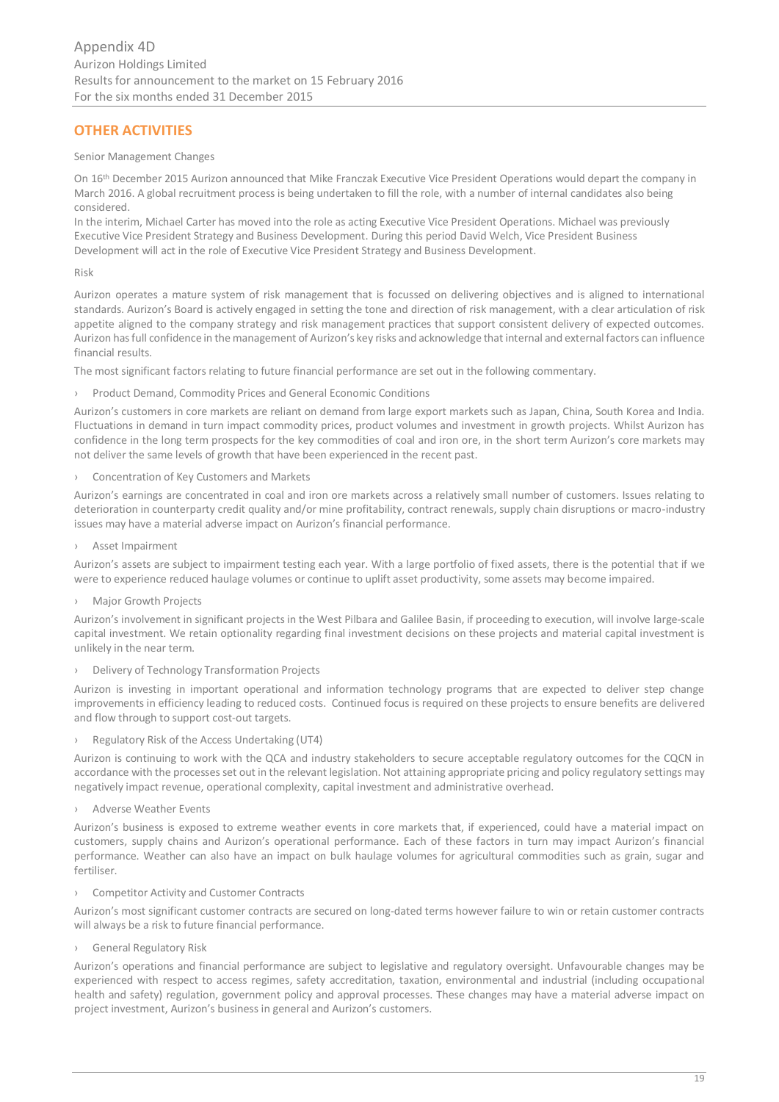# **OTHER ACTIVITIES**

#### Senior Management Changes

On 16th December 2015 Aurizon announced that Mike Franczak Executive Vice President Operations would depart the company in March 2016. A global recruitment process is being undertaken to fill the role, with a number of internal candidates also being considered.

In the interim, Michael Carter has moved into the role as acting Executive Vice President Operations. Michael was previously Executive Vice President Strategy and Business Development. During this period David Welch, Vice President Business Development will act in the role of Executive Vice President Strategy and Business Development.

Risk

Aurizon operates a mature system of risk management that is focussed on delivering objectives and is aligned to international standards. Aurizon's Board is actively engaged in setting the tone and direction of risk management, with a clear articulation of risk appetite aligned to the company strategy and risk management practices that support consistent delivery of expected outcomes. Aurizon has full confidence in the management of Aurizon's key risks and acknowledge that internal and external factors can influence financial results.

The most significant factors relating to future financial performance are set out in the following commentary.

› Product Demand, Commodity Prices and General Economic Conditions

Aurizon's customers in core markets are reliant on demand from large export markets such as Japan, China, South Korea and India. Fluctuations in demand in turn impact commodity prices, product volumes and investment in growth projects. Whilst Aurizon has confidence in the long term prospects for the key commodities of coal and iron ore, in the short term Aurizon's core markets may not deliver the same levels of growth that have been experienced in the recent past.

› Concentration of Key Customers and Markets

Aurizon's earnings are concentrated in coal and iron ore markets across a relatively small number of customers. Issues relating to deterioration in counterparty credit quality and/or mine profitability, contract renewals, supply chain disruptions or macro-industry issues may have a material adverse impact on Aurizon's financial performance.

› Asset Impairment

Aurizon's assets are subject to impairment testing each year. With a large portfolio of fixed assets, there is the potential that if we were to experience reduced haulage volumes or continue to uplift asset productivity, some assets may become impaired.

**Major Growth Projects** 

Aurizon's involvement in significant projects in the West Pilbara and Galilee Basin, if proceeding to execution, will involve large-scale capital investment. We retain optionality regarding final investment decisions on these projects and material capital investment is unlikely in the near term.

› Delivery of Technology Transformation Projects

Aurizon is investing in important operational and information technology programs that are expected to deliver step change improvements in efficiency leading to reduced costs. Continued focus is required on these projects to ensure benefits are delivered and flow through to support cost-out targets.

› Regulatory Risk of the Access Undertaking (UT4)

Aurizon is continuing to work with the QCA and industry stakeholders to secure acceptable regulatory outcomes for the CQCN in accordance with the processes set out in the relevant legislation. Not attaining appropriate pricing and policy regulatory settings may negatively impact revenue, operational complexity, capital investment and administrative overhead.

› Adverse Weather Events

Aurizon's business is exposed to extreme weather events in core markets that, if experienced, could have a material impact on customers, supply chains and Aurizon's operational performance. Each of these factors in turn may impact Aurizon's financial performance. Weather can also have an impact on bulk haulage volumes for agricultural commodities such as grain, sugar and fertiliser.

› Competitor Activity and Customer Contracts

Aurizon's most significant customer contracts are secured on long-dated terms however failure to win or retain customer contracts will always be a risk to future financial performance.

› General Regulatory Risk

Aurizon's operations and financial performance are subject to legislative and regulatory oversight. Unfavourable changes may be experienced with respect to access regimes, safety accreditation, taxation, environmental and industrial (including occupational health and safety) regulation, government policy and approval processes. These changes may have a material adverse impact on project investment, Aurizon's business in general and Aurizon's customers.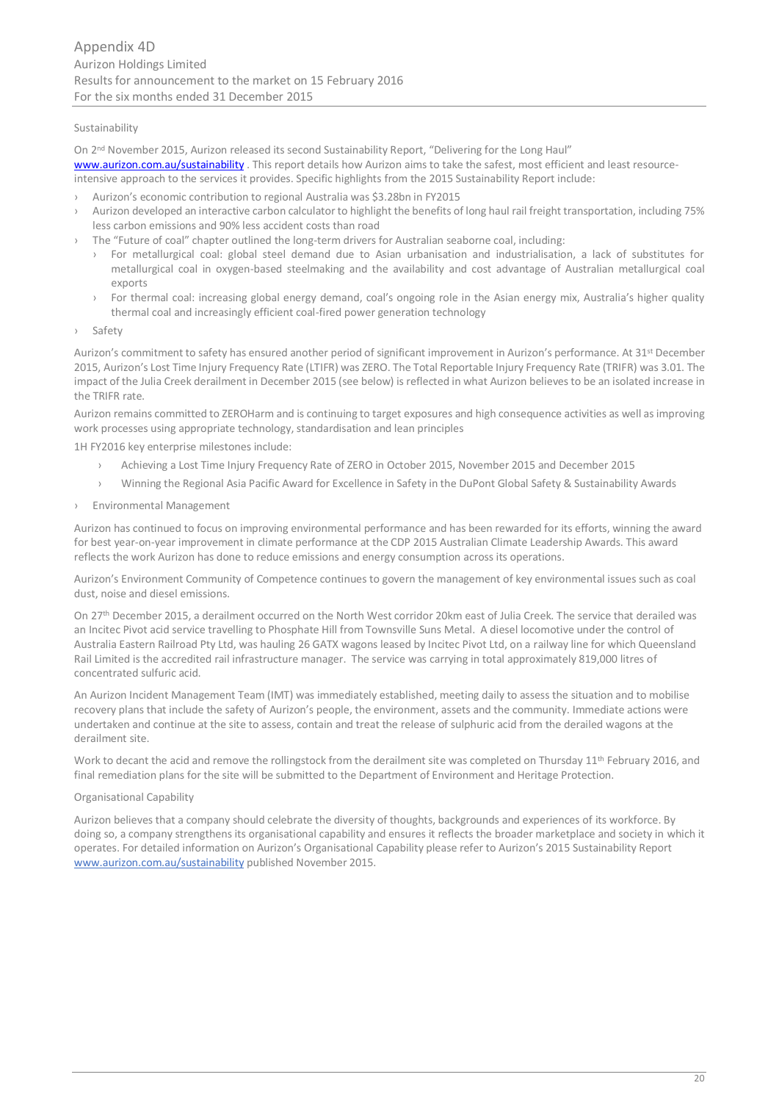# Sustainability

On 2nd November 2015, Aurizon released its second Sustainability Report, "Delivering for the Long Haul" [www.aurizon.com.au/sustainability](http://www.aurizon.com.au/sustainability)</u>. This report details how Aurizon aims to take the safest, most efficient and least resourceintensive approach to the services it provides. Specific highlights from the 2015 Sustainability Report include:

- › Aurizon's economic contribution to regional Australia was \$3.28bn in FY2015
- › Aurizon developed an interactive carbon calculator to highlight the benefits of long haul rail freight transportation, including 75% less carbon emissions and 90% less accident costs than road
- The "Future of coal" chapter outlined the long-term drivers for Australian seaborne coal, including:
	- › For metallurgical coal: global steel demand due to Asian urbanisation and industrialisation, a lack of substitutes for metallurgical coal in oxygen-based steelmaking and the availability and cost advantage of Australian metallurgical coal exports
	- › For thermal coal: increasing global energy demand, coal's ongoing role in the Asian energy mix, Australia's higher quality thermal coal and increasingly efficient coal-fired power generation technology
- › Safety

Aurizon's commitment to safety has ensured another period of significant improvement in Aurizon's performance. At 31st December 2015, Aurizon's Lost Time Injury Frequency Rate (LTIFR) was ZERO. The Total Reportable Injury Frequency Rate (TRIFR) was 3.01. The impact of the Julia Creek derailment in December 2015 (see below) is reflected in what Aurizon believes to be an isolated increase in the TRIFR rate.

Aurizon remains committed to ZEROHarm and is continuing to target exposures and high consequence activities as well as improving work processes using appropriate technology, standardisation and lean principles

1H FY2016 key enterprise milestones include:

- › Achieving a Lost Time Injury Frequency Rate of ZERO in October 2015, November 2015 and December 2015
- › Winning the Regional Asia Pacific Award for Excellence in Safety in the DuPont Global Safety & Sustainability Awards
- › Environmental Management

Aurizon has continued to focus on improving environmental performance and has been rewarded for its efforts, winning the award for best year-on-year improvement in climate performance at the CDP 2015 Australian Climate Leadership Awards. This award reflects the work Aurizon has done to reduce emissions and energy consumption across its operations.

Aurizon's Environment Community of Competence continues to govern the management of key environmental issues such as coal dust, noise and diesel emissions.

On 27th December 2015, a derailment occurred on the North West corridor 20km east of Julia Creek. The service that derailed was an Incitec Pivot acid service travelling to Phosphate Hill from Townsville Suns Metal. A diesel locomotive under the control of Australia Eastern Railroad Pty Ltd, was hauling 26 GATX wagons leased by Incitec Pivot Ltd, on a railway line for which Queensland Rail Limited is the accredited rail infrastructure manager. The service was carrying in total approximately 819,000 litres of concentrated sulfuric acid.

An Aurizon Incident Management Team (IMT) was immediately established, meeting daily to assess the situation and to mobilise recovery plans that include the safety of Aurizon's people, the environment, assets and the community. Immediate actions were undertaken and continue at the site to assess, contain and treat the release of sulphuric acid from the derailed wagons at the derailment site.

Work to decant the acid and remove the rollingstock from the derailment site was completed on Thursday 11<sup>th</sup> February 2016, and final remediation plans for the site will be submitted to the Department of Environment and Heritage Protection.

# Organisational Capability

Aurizon believes that a company should celebrate the diversity of thoughts, backgrounds and experiences of its workforce. By doing so, a company strengthens its organisational capability and ensures it reflects the broader marketplace and society in which it operates. For detailed information on Aurizon's Organisational Capability please refer to Aurizon's 2015 Sustainability Report [www.aurizon.com.au/sustainability](http://www.aurizon.com.au/sustainability) published November 2015.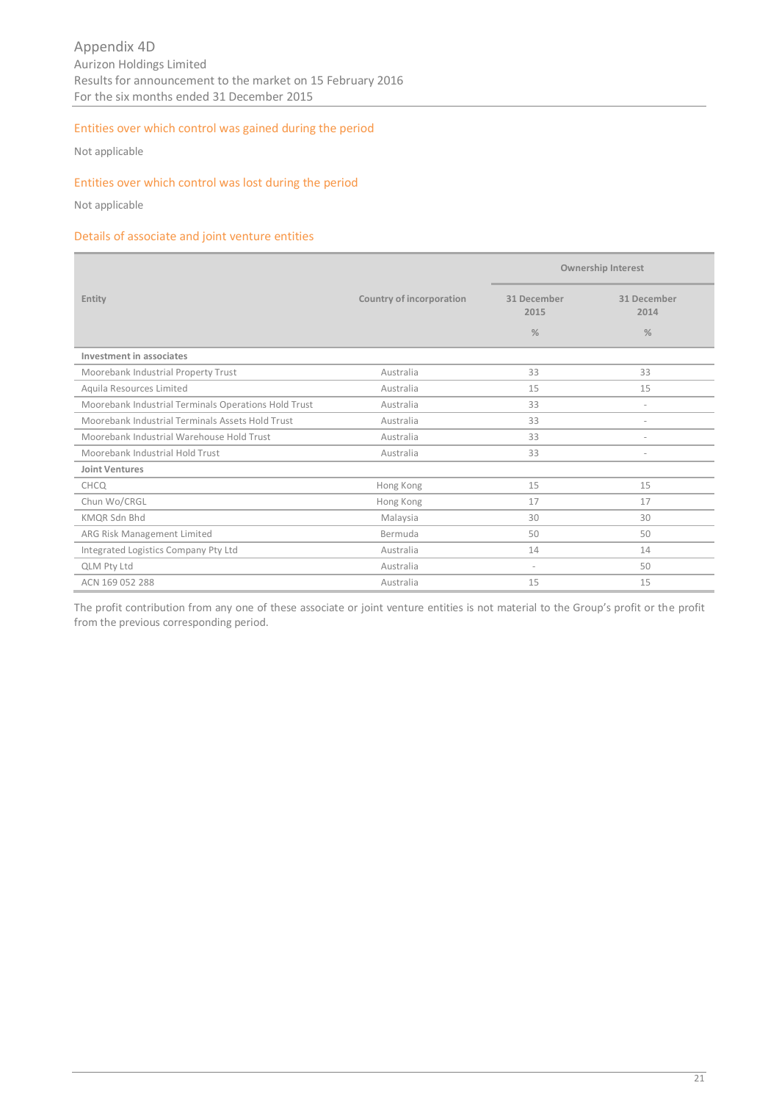# Entities over which control was gained during the period

Not applicable

# Entities over which control was lost during the period

Not applicable

# Details of associate and joint venture entities

|                                                      |                          | <b>Ownership Interest</b> |                          |  |  |
|------------------------------------------------------|--------------------------|---------------------------|--------------------------|--|--|
| Entity                                               | Country of incorporation | 31 December<br>2015       | 31 December<br>2014      |  |  |
|                                                      |                          | $\%$                      | $\%$                     |  |  |
| Investment in associates                             |                          |                           |                          |  |  |
| Moorebank Industrial Property Trust                  | Australia                | 33                        | 33                       |  |  |
| Aquila Resources Limited                             | Australia                | 15                        | 15                       |  |  |
| Moorebank Industrial Terminals Operations Hold Trust | Australia                | 33                        | $\overline{\phantom{a}}$ |  |  |
| Moorebank Industrial Terminals Assets Hold Trust     | Australia                | 33                        | $\overline{\phantom{a}}$ |  |  |
| Moorebank Industrial Warehouse Hold Trust            | Australia                | 33                        | $\overline{\phantom{a}}$ |  |  |
| Moorebank Industrial Hold Trust                      | Australia                | 33                        | $\overline{\phantom{a}}$ |  |  |
| <b>Joint Ventures</b>                                |                          |                           |                          |  |  |
| CHCQ                                                 | Hong Kong                | 15                        | 15                       |  |  |
| Chun Wo/CRGL                                         | Hong Kong                | 17                        | 17                       |  |  |
| <b>KMOR Sdn Bhd</b>                                  | Malaysia                 | 30                        | 30                       |  |  |
| ARG Risk Management Limited                          | Bermuda                  | 50                        | 50                       |  |  |
| Integrated Logistics Company Pty Ltd                 | Australia                | 14                        | 14                       |  |  |
| <b>QLM Pty Ltd</b>                                   | Australia                | ٠                         | 50                       |  |  |
| ACN 169 052 288                                      | Australia                | 15                        | 15                       |  |  |

The profit contribution from any one of these associate or joint venture entities is not material to the Group's profit or the profit from the previous corresponding period.